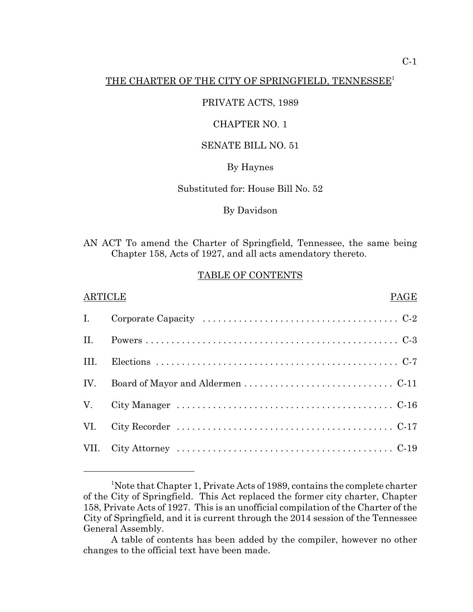## THE CHARTER OF THE CITY OF SPRINGFIELD, TENNESSEE<sup>1</sup>

#### PRIVATE ACTS, 1989

## CHAPTER NO. 1

#### SENATE BILL NO. 51

#### By Haynes

#### Substituted for: House Bill No. 52

#### By Davidson

AN ACT To amend the Charter of Springfield, Tennessee, the same being Chapter 158, Acts of 1927, and all acts amendatory thereto.

#### TABLE OF CONTENTS

#### ARTICLE PAGE

| II.  |  |
|------|--|
| III. |  |
|      |  |
|      |  |
|      |  |
|      |  |

<sup>&</sup>lt;sup>1</sup>Note that Chapter 1, Private Acts of 1989, contains the complete charter of the City of Springfield. This Act replaced the former city charter, Chapter 158, Private Acts of 1927. This is an unofficial compilation of the Charter of the City of Springfield, and it is current through the 2014 session of the Tennessee General Assembly.

A table of contents has been added by the compiler, however no other changes to the official text have been made.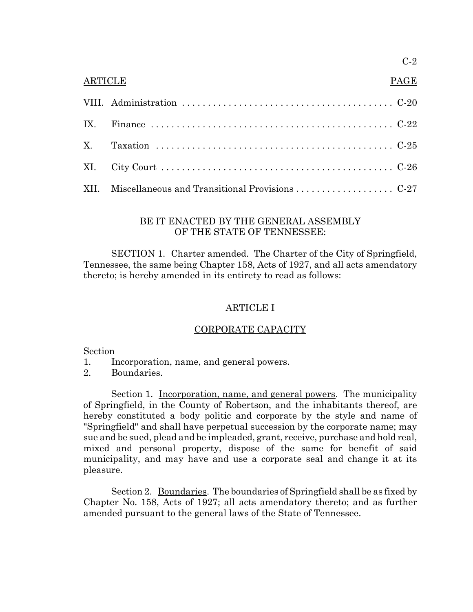# C-2

## ARTICLE PAGE

## BE IT ENACTED BY THE GENERAL ASSEMBLY OF THE STATE OF TENNESSEE:

SECTION 1. Charter amended. The Charter of the City of Springfield, Tennessee, the same being Chapter 158, Acts of 1927, and all acts amendatory thereto; is hereby amended in its entirety to read as follows:

# ARTICLE I

# CORPORATE CAPACITY

#### Section

- 1. Incorporation, name, and general powers.
- 2. Boundaries.

Section 1. <u>Incorporation, name, and general powers</u>. The municipality of Springfield, in the County of Robertson, and the inhabitants thereof, are hereby constituted a body politic and corporate by the style and name of "Springfield" and shall have perpetual succession by the corporate name; may sue and be sued, plead and be impleaded, grant, receive, purchase and hold real, mixed and personal property, dispose of the same for benefit of said municipality, and may have and use a corporate seal and change it at its pleasure.

Section 2. Boundaries. The boundaries of Springfield shall be as fixed by Chapter No. 158, Acts of 1927; all acts amendatory thereto; and as further amended pursuant to the general laws of the State of Tennessee.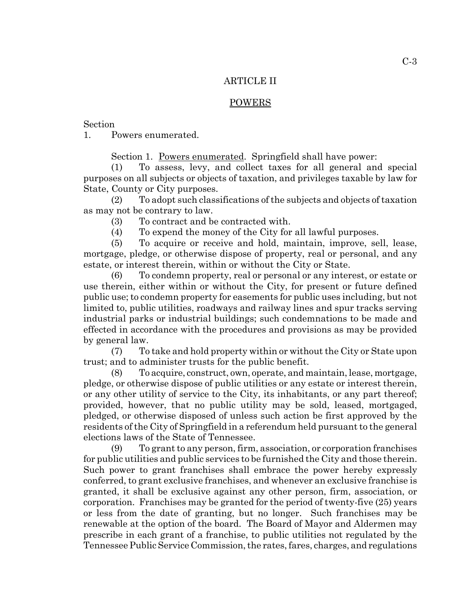#### ARTICLE II

#### POWERS

Section

1. Powers enumerated.

Section 1. Powers enumerated. Springfield shall have power:

(1) To assess, levy, and collect taxes for all general and special purposes on all subjects or objects of taxation, and privileges taxable by law for State, County or City purposes.

(2) To adopt such classifications of the subjects and objects of taxation as may not be contrary to law.

(3) To contract and be contracted with.

(4) To expend the money of the City for all lawful purposes.

(5) To acquire or receive and hold, maintain, improve, sell, lease, mortgage, pledge, or otherwise dispose of property, real or personal, and any estate, or interest therein, within or without the City or State.

(6) To condemn property, real or personal or any interest, or estate or use therein, either within or without the City, for present or future defined public use; to condemn property for easements for public uses including, but not limited to, public utilities, roadways and railway lines and spur tracks serving industrial parks or industrial buildings; such condemnations to be made and effected in accordance with the procedures and provisions as may be provided by general law.

(7) To take and hold property within or without the City or State upon trust; and to administer trusts for the public benefit.

(8) To acquire, construct, own, operate, and maintain, lease, mortgage, pledge, or otherwise dispose of public utilities or any estate or interest therein, or any other utility of service to the City, its inhabitants, or any part thereof; provided, however, that no public utility may be sold, leased, mortgaged, pledged, or otherwise disposed of unless such action be first approved by the residents of the City of Springfield in a referendum held pursuant to the general elections laws of the State of Tennessee.

(9) To grant to any person, firm, association, or corporation franchises for public utilities and public services to be furnished the City and those therein. Such power to grant franchises shall embrace the power hereby expressly conferred, to grant exclusive franchises, and whenever an exclusive franchise is granted, it shall be exclusive against any other person, firm, association, or corporation. Franchises may be granted for the period of twenty-five (25) years or less from the date of granting, but no longer. Such franchises may be renewable at the option of the board. The Board of Mayor and Aldermen may prescribe in each grant of a franchise, to public utilities not regulated by the Tennessee Public Service Commission, the rates, fares, charges, and regulations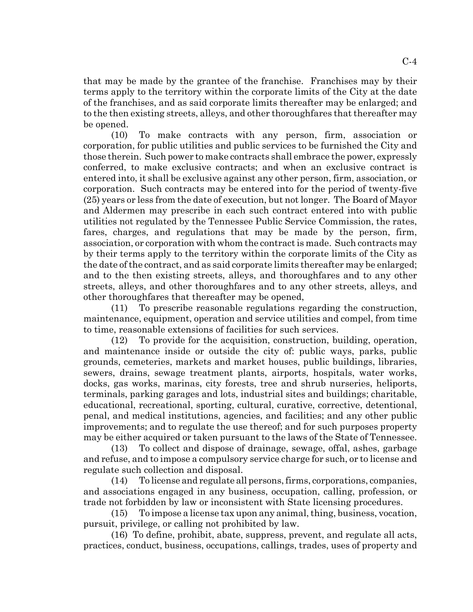that may be made by the grantee of the franchise. Franchises may by their terms apply to the territory within the corporate limits of the City at the date of the franchises, and as said corporate limits thereafter may be enlarged; and to the then existing streets, alleys, and other thoroughfares that thereafter may be opened.

(10) To make contracts with any person, firm, association or corporation, for public utilities and public services to be furnished the City and those therein. Such power to make contracts shall embrace the power, expressly conferred, to make exclusive contracts; and when an exclusive contract is entered into, it shall be exclusive against any other person, firm, association, or corporation. Such contracts may be entered into for the period of twenty-five (25) years or less from the date of execution, but not longer. The Board of Mayor and Aldermen may prescribe in each such contract entered into with public utilities not regulated by the Tennessee Public Service Commission, the rates, fares, charges, and regulations that may be made by the person, firm, association, or corporation with whom the contract is made. Such contracts may by their terms apply to the territory within the corporate limits of the City as the date of the contract, and as said corporate limits thereafter may be enlarged; and to the then existing streets, alleys, and thoroughfares and to any other streets, alleys, and other thoroughfares and to any other streets, alleys, and other thoroughfares that thereafter may be opened,

(11) To prescribe reasonable regulations regarding the construction, maintenance, equipment, operation and service utilities and compel, from time to time, reasonable extensions of facilities for such services.

(12) To provide for the acquisition, construction, building, operation, and maintenance inside or outside the city of: public ways, parks, public grounds, cemeteries, markets and market houses, public buildings, libraries, sewers, drains, sewage treatment plants, airports, hospitals, water works, docks, gas works, marinas, city forests, tree and shrub nurseries, heliports, terminals, parking garages and lots, industrial sites and buildings; charitable, educational, recreational, sporting, cultural, curative, corrective, detentional, penal, and medical institutions, agencies, and facilities; and any other public improvements; and to regulate the use thereof; and for such purposes property may be either acquired or taken pursuant to the laws of the State of Tennessee.

(13) To collect and dispose of drainage, sewage, offal, ashes, garbage and refuse, and to impose a compulsory service charge for such, or to license and regulate such collection and disposal.

(14) To license and regulate all persons, firms, corporations, companies, and associations engaged in any business, occupation, calling, profession, or trade not forbidden by law or inconsistent with State licensing procedures.

(15) To impose a license tax upon any animal, thing, business, vocation, pursuit, privilege, or calling not prohibited by law.

(16) To define, prohibit, abate, suppress, prevent, and regulate all acts, practices, conduct, business, occupations, callings, trades, uses of property and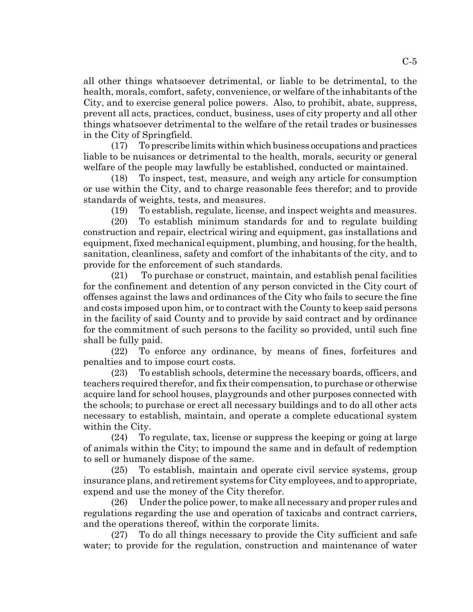all other things whatsoever detrimental, or liable to be detrimental, to the health, morals, comfort, safety, convenience, or welfare of the inhabitants of the City, and to exercise general police powers. Also, to prohibit, abate, suppress, prevent all acts, practices, conduct, business, uses of city property and all other things whatsoever detrimental to the welfare of the retail trades or businesses in the City of Springfield.

(17) To prescribe limits within which business occupations and practices liable to be nuisances or detrimental to the health, morals, security or general welfare of the people may lawfully be established, conducted or maintained.

(18) To inspect, test, measure, and weigh any article for consumption or use within the City, and to charge reasonable fees therefor; and to provide standards of weights, tests, and measures.

(19) To establish, regulate, license, and inspect weights and measures.

(20) To establish minimum standards for and to regulate building construction and repair, electrical wiring and equipment, gas installations and equipment, fixed mechanical equipment, plumbing, and housing, for the health, sanitation, cleanliness, safety and comfort of the inhabitants of the city, and to provide for the enforcement of such standards.

(21) To purchase or construct, maintain, and establish penal facilities for the confinement and detention of any person convicted in the City court of offenses against the laws and ordinances of the City who fails to secure the fine and costs imposed upon him, or to contract with the County to keep said persons in the facility of said County and to provide by said contract and by ordinance for the commitment of such persons to the facility so provided, until such fine shall be fully paid.

(22) To enforce any ordinance, by means of fines, forfeitures and penalties and to impose court costs.

(23) To establish schools, determine the necessary boards, officers, and teachers required therefor, and fix their compensation, to purchase or otherwise acquire land for school houses, playgrounds and other purposes connected with the schools; to purchase or erect all necessary buildings and to do all other acts necessary to establish, maintain, and operate a complete educational system within the City.

(24) To regulate, tax, license or suppress the keeping or going at large of animals within the City; to impound the same and in default of redemption to sell or humanely dispose of the same.

(25) To establish, maintain and operate civil service systems, group insurance plans, and retirement systems for City employees, and to appropriate, expend and use the money of the City therefor.

(26) Under the police power, to make all necessary and proper rules and regulations regarding the use and operation of taxicabs and contract carriers, and the operations thereof, within the corporate limits.

(27) To do all things necessary to provide the City sufficient and safe water; to provide for the regulation, construction and maintenance of water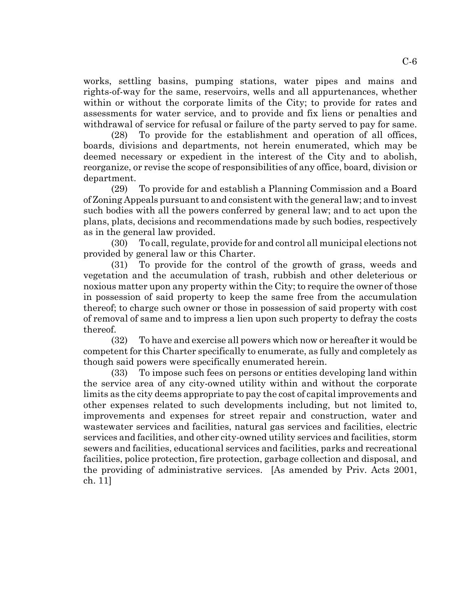works, settling basins, pumping stations, water pipes and mains and rights-of-way for the same, reservoirs, wells and all appurtenances, whether within or without the corporate limits of the City; to provide for rates and assessments for water service, and to provide and fix liens or penalties and withdrawal of service for refusal or failure of the party served to pay for same.

(28) To provide for the establishment and operation of all offices, boards, divisions and departments, not herein enumerated, which may be deemed necessary or expedient in the interest of the City and to abolish, reorganize, or revise the scope of responsibilities of any office, board, division or department.

(29) To provide for and establish a Planning Commission and a Board of Zoning Appeals pursuant to and consistent with the general law; and to invest such bodies with all the powers conferred by general law; and to act upon the plans, plats, decisions and recommendations made by such bodies, respectively as in the general law provided.

(30) To call, regulate, provide for and control all municipal elections not provided by general law or this Charter.

(31) To provide for the control of the growth of grass, weeds and vegetation and the accumulation of trash, rubbish and other deleterious or noxious matter upon any property within the City; to require the owner of those in possession of said property to keep the same free from the accumulation thereof; to charge such owner or those in possession of said property with cost of removal of same and to impress a lien upon such property to defray the costs thereof.

(32) To have and exercise all powers which now or hereafter it would be competent for this Charter specifically to enumerate, as fully and completely as though said powers were specifically enumerated herein.

(33) To impose such fees on persons or entities developing land within the service area of any city-owned utility within and without the corporate limits as the city deems appropriate to pay the cost of capital improvements and other expenses related to such developments including, but not limited to, improvements and expenses for street repair and construction, water and wastewater services and facilities, natural gas services and facilities, electric services and facilities, and other city-owned utility services and facilities, storm sewers and facilities, educational services and facilities, parks and recreational facilities, police protection, fire protection, garbage collection and disposal, and the providing of administrative services. [As amended by Priv. Acts 2001, ch. 11]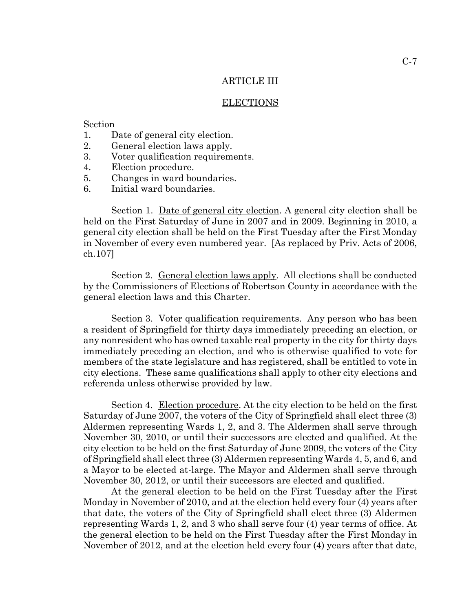## ARTICLE III

#### ELECTIONS

#### Section

- 1. Date of general city election.
- 2. General election laws apply.
- 3. Voter qualification requirements.
- 4. Election procedure.
- 5. Changes in ward boundaries.
- 6. Initial ward boundaries.

Section 1. <u>Date of general city election</u>. A general city election shall be held on the First Saturday of June in 2007 and in 2009. Beginning in 2010, a general city election shall be held on the First Tuesday after the First Monday in November of every even numbered year. [As replaced by Priv. Acts of 2006, ch.107]

Section 2. General election laws apply. All elections shall be conducted by the Commissioners of Elections of Robertson County in accordance with the general election laws and this Charter.

Section 3. Voter qualification requirements. Any person who has been a resident of Springfield for thirty days immediately preceding an election, or any nonresident who has owned taxable real property in the city for thirty days immediately preceding an election, and who is otherwise qualified to vote for members of the state legislature and has registered, shall be entitled to vote in city elections. These same qualifications shall apply to other city elections and referenda unless otherwise provided by law.

Section 4. Election procedure. At the city election to be held on the first Saturday of June 2007, the voters of the City of Springfield shall elect three (3) Aldermen representing Wards 1, 2, and 3. The Aldermen shall serve through November 30, 2010, or until their successors are elected and qualified. At the city election to be held on the first Saturday of June 2009, the voters of the City of Springfield shall elect three (3) Aldermen representing Wards 4, 5, and 6, and a Mayor to be elected at-large. The Mayor and Aldermen shall serve through November 30, 2012, or until their successors are elected and qualified.

At the general election to be held on the First Tuesday after the First Monday in November of 2010, and at the election held every four (4) years after that date, the voters of the City of Springfield shall elect three (3) Aldermen representing Wards 1, 2, and 3 who shall serve four (4) year terms of office. At the general election to be held on the First Tuesday after the First Monday in November of 2012, and at the election held every four (4) years after that date,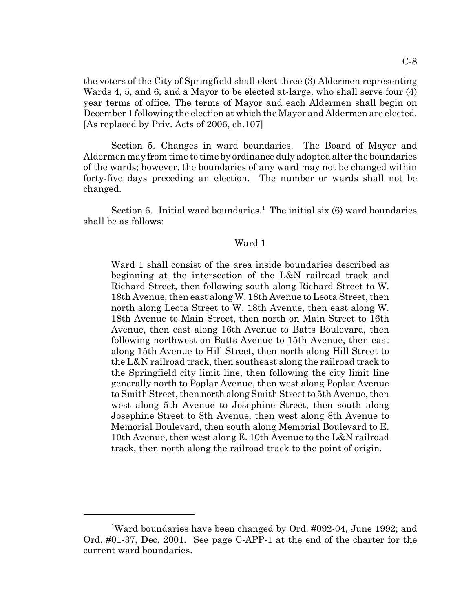the voters of the City of Springfield shall elect three (3) Aldermen representing Wards 4, 5, and 6, and a Mayor to be elected at-large, who shall serve four (4) year terms of office. The terms of Mayor and each Aldermen shall begin on December 1 following the election at which the Mayor and Aldermen are elected. [As replaced by Priv. Acts of 2006, ch.107]

Section 5. Changes in ward boundaries. The Board of Mayor and Aldermen may from time to time by ordinance duly adopted alter the boundaries of the wards; however, the boundaries of any ward may not be changed within forty-five days preceding an election. The number or wards shall not be changed.

Section 6. Initial ward boundaries.<sup>1</sup> The initial six (6) ward boundaries shall be as follows:

#### Ward 1

Ward 1 shall consist of the area inside boundaries described as beginning at the intersection of the L&N railroad track and Richard Street, then following south along Richard Street to W. 18th Avenue, then east along W. 18th Avenue to Leota Street, then north along Leota Street to W. 18th Avenue, then east along W. 18th Avenue to Main Street, then north on Main Street to 16th Avenue, then east along 16th Avenue to Batts Boulevard, then following northwest on Batts Avenue to 15th Avenue, then east along 15th Avenue to Hill Street, then north along Hill Street to the L&N railroad track, then southeast along the railroad track to the Springfield city limit line, then following the city limit line generally north to Poplar Avenue, then west along Poplar Avenue to Smith Street, then north along Smith Street to 5th Avenue, then west along 5th Avenue to Josephine Street, then south along Josephine Street to 8th Avenue, then west along 8th Avenue to Memorial Boulevard, then south along Memorial Boulevard to E. 10th Avenue, then west along E. 10th Avenue to the L&N railroad track, then north along the railroad track to the point of origin.

<sup>&</sup>lt;sup>1</sup>Ward boundaries have been changed by Ord. #092-04, June 1992; and Ord. #01-37, Dec. 2001. See page C-APP-1 at the end of the charter for the current ward boundaries.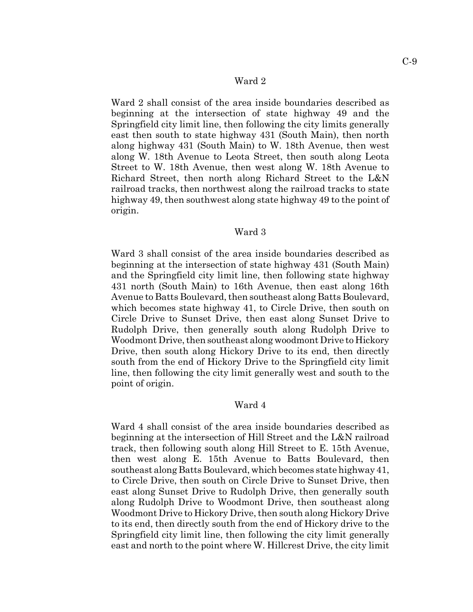#### Ward 2

Ward 2 shall consist of the area inside boundaries described as beginning at the intersection of state highway 49 and the Springfield city limit line, then following the city limits generally east then south to state highway 431 (South Main), then north along highway 431 (South Main) to W. 18th Avenue, then west along W. 18th Avenue to Leota Street, then south along Leota Street to W. 18th Avenue, then west along W. 18th Avenue to Richard Street, then north along Richard Street to the L&N railroad tracks, then northwest along the railroad tracks to state highway 49, then southwest along state highway 49 to the point of origin.

#### Ward 3

Ward 3 shall consist of the area inside boundaries described as beginning at the intersection of state highway 431 (South Main) and the Springfield city limit line, then following state highway 431 north (South Main) to 16th Avenue, then east along 16th Avenue to Batts Boulevard, then southeast along Batts Boulevard, which becomes state highway 41, to Circle Drive, then south on Circle Drive to Sunset Drive, then east along Sunset Drive to Rudolph Drive, then generally south along Rudolph Drive to Woodmont Drive, then southeast along woodmont Drive to Hickory Drive, then south along Hickory Drive to its end, then directly south from the end of Hickory Drive to the Springfield city limit line, then following the city limit generally west and south to the point of origin.

#### Ward 4

Ward 4 shall consist of the area inside boundaries described as beginning at the intersection of Hill Street and the L&N railroad track, then following south along Hill Street to E. 15th Avenue, then west along E. 15th Avenue to Batts Boulevard, then southeast along Batts Boulevard, which becomes state highway 41, to Circle Drive, then south on Circle Drive to Sunset Drive, then east along Sunset Drive to Rudolph Drive, then generally south along Rudolph Drive to Woodmont Drive, then southeast along Woodmont Drive to Hickory Drive, then south along Hickory Drive to its end, then directly south from the end of Hickory drive to the Springfield city limit line, then following the city limit generally east and north to the point where W. Hillcrest Drive, the city limit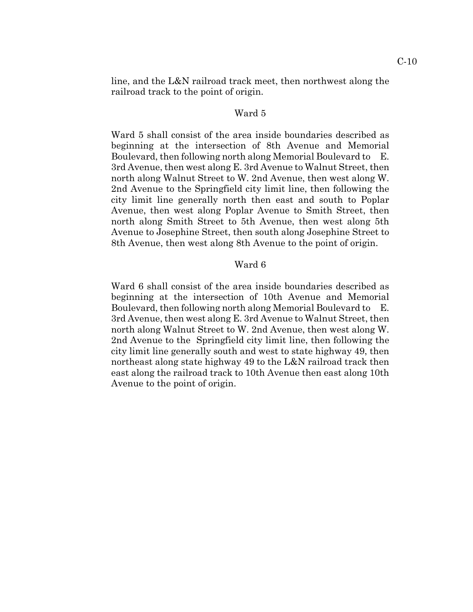line, and the L&N railroad track meet, then northwest along the railroad track to the point of origin.

#### Ward 5

Ward 5 shall consist of the area inside boundaries described as beginning at the intersection of 8th Avenue and Memorial Boulevard, then following north along Memorial Boulevard to E. 3rd Avenue, then west along E. 3rd Avenue to Walnut Street, then north along Walnut Street to W. 2nd Avenue, then west along W. 2nd Avenue to the Springfield city limit line, then following the city limit line generally north then east and south to Poplar Avenue, then west along Poplar Avenue to Smith Street, then north along Smith Street to 5th Avenue, then west along 5th Avenue to Josephine Street, then south along Josephine Street to 8th Avenue, then west along 8th Avenue to the point of origin.

#### Ward 6

Ward 6 shall consist of the area inside boundaries described as beginning at the intersection of 10th Avenue and Memorial Boulevard, then following north along Memorial Boulevard to E. 3rd Avenue, then west along E. 3rd Avenue to Walnut Street, then north along Walnut Street to W. 2nd Avenue, then west along W. 2nd Avenue to the Springfield city limit line, then following the city limit line generally south and west to state highway 49, then northeast along state highway 49 to the L&N railroad track then east along the railroad track to 10th Avenue then east along 10th Avenue to the point of origin.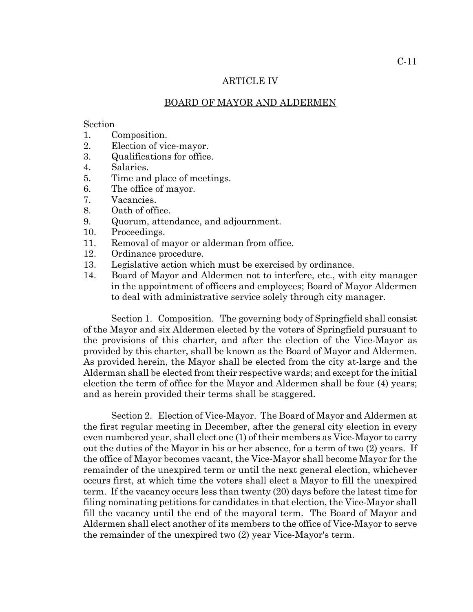#### ARTICLE IV

#### BOARD OF MAYOR AND ALDERMEN

#### Section

- 1. Composition.
- 2. Election of vice-mayor.
- 3. Qualifications for office.
- 4. Salaries.
- 5. Time and place of meetings.
- 6. The office of mayor.
- 7. Vacancies.
- 8. Oath of office.
- 9. Quorum, attendance, and adjournment.
- 10. Proceedings.
- 11. Removal of mayor or alderman from office.
- 12. Ordinance procedure.
- 13. Legislative action which must be exercised by ordinance.
- 14. Board of Mayor and Aldermen not to interfere, etc., with city manager in the appointment of officers and employees; Board of Mayor Aldermen to deal with administrative service solely through city manager.

Section 1. Composition. The governing body of Springfield shall consist of the Mayor and six Aldermen elected by the voters of Springfield pursuant to the provisions of this charter, and after the election of the Vice-Mayor as provided by this charter, shall be known as the Board of Mayor and Aldermen. As provided herein, the Mayor shall be elected from the city at-large and the Alderman shall be elected from their respective wards; and except for the initial election the term of office for the Mayor and Aldermen shall be four (4) years; and as herein provided their terms shall be staggered.

Section 2. Election of Vice-Mayor. The Board of Mayor and Aldermen at the first regular meeting in December, after the general city election in every even numbered year, shall elect one (1) of their members as Vice-Mayor to carry out the duties of the Mayor in his or her absence, for a term of two (2) years. If the office of Mayor becomes vacant, the Vice-Mayor shall become Mayor for the remainder of the unexpired term or until the next general election, whichever occurs first, at which time the voters shall elect a Mayor to fill the unexpired term. If the vacancy occurs less than twenty (20) days before the latest time for filing nominating petitions for candidates in that election, the Vice-Mayor shall fill the vacancy until the end of the mayoral term. The Board of Mayor and Aldermen shall elect another of its members to the office of Vice-Mayor to serve the remainder of the unexpired two (2) year Vice-Mayor's term.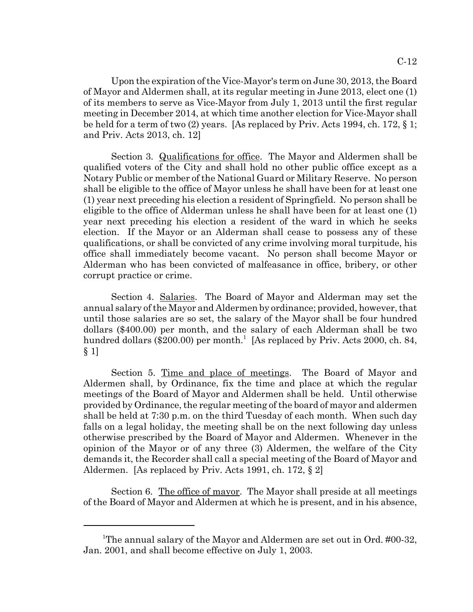Upon the expiration of the Vice-Mayor's term on June 30, 2013, the Board of Mayor and Aldermen shall, at its regular meeting in June 2013, elect one (1) of its members to serve as Vice-Mayor from July 1, 2013 until the first regular meeting in December 2014, at which time another election for Vice-Mayor shall be held for a term of two (2) years. [As replaced by Priv. Acts 1994, ch. 172, § 1; and Priv. Acts 2013, ch. 12]

Section 3. Qualifications for office. The Mayor and Aldermen shall be qualified voters of the City and shall hold no other public office except as a Notary Public or member of the National Guard or Military Reserve. No person shall be eligible to the office of Mayor unless he shall have been for at least one (1) year next preceding his election a resident of Springfield. No person shall be eligible to the office of Alderman unless he shall have been for at least one (1) year next preceding his election a resident of the ward in which he seeks election. If the Mayor or an Alderman shall cease to possess any of these qualifications, or shall be convicted of any crime involving moral turpitude, his office shall immediately become vacant. No person shall become Mayor or Alderman who has been convicted of malfeasance in office, bribery, or other corrupt practice or crime.

Section 4. Salaries. The Board of Mayor and Alderman may set the annual salary of the Mayor and Aldermen by ordinance; provided, however, that until those salaries are so set, the salary of the Mayor shall be four hundred dollars (\$400.00) per month, and the salary of each Alderman shall be two hundred dollars (\$200.00) per month.<sup>1</sup> [As replaced by Priv. Acts 2000, ch. 84, § 1]

Section 5. Time and place of meetings. The Board of Mayor and Aldermen shall, by Ordinance, fix the time and place at which the regular meetings of the Board of Mayor and Aldermen shall be held. Until otherwise provided by Ordinance, the regular meeting of the board of mayor and aldermen shall be held at 7:30 p.m. on the third Tuesday of each month. When such day falls on a legal holiday, the meeting shall be on the next following day unless otherwise prescribed by the Board of Mayor and Aldermen. Whenever in the opinion of the Mayor or of any three (3) Aldermen, the welfare of the City demands it, the Recorder shall call a special meeting of the Board of Mayor and Aldermen. [As replaced by Priv. Acts 1991, ch. 172, § 2]

Section 6. The office of mayor. The Mayor shall preside at all meetings of the Board of Mayor and Aldermen at which he is present, and in his absence,

<sup>&</sup>lt;sup>1</sup>The annual salary of the Mayor and Aldermen are set out in Ord. #00-32, Jan. 2001, and shall become effective on July 1, 2003.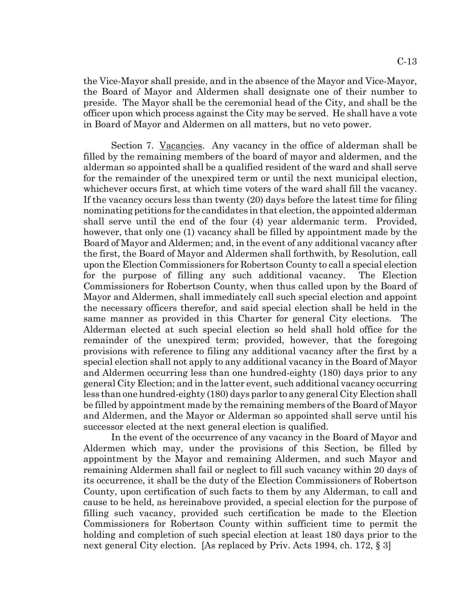the Vice-Mayor shall preside, and in the absence of the Mayor and Vice-Mayor, the Board of Mayor and Aldermen shall designate one of their number to preside. The Mayor shall be the ceremonial head of the City, and shall be the officer upon which process against the City may be served. He shall have a vote in Board of Mayor and Aldermen on all matters, but no veto power.

Section 7. Vacancies. Any vacancy in the office of alderman shall be filled by the remaining members of the board of mayor and aldermen, and the alderman so appointed shall be a qualified resident of the ward and shall serve for the remainder of the unexpired term or until the next municipal election, whichever occurs first, at which time voters of the ward shall fill the vacancy. If the vacancy occurs less than twenty (20) days before the latest time for filing nominating petitions for the candidates in that election, the appointed alderman shall serve until the end of the four (4) year aldermanic term. Provided, however, that only one (1) vacancy shall be filled by appointment made by the Board of Mayor and Aldermen; and, in the event of any additional vacancy after the first, the Board of Mayor and Aldermen shall forthwith, by Resolution, call upon the Election Commissioners for Robertson County to call a special election for the purpose of filling any such additional vacancy. The Election Commissioners for Robertson County, when thus called upon by the Board of Mayor and Aldermen, shall immediately call such special election and appoint the necessary officers therefor, and said special election shall be held in the same manner as provided in this Charter for general City elections. The Alderman elected at such special election so held shall hold office for the remainder of the unexpired term; provided, however, that the foregoing provisions with reference to filing any additional vacancy after the first by a special election shall not apply to any additional vacancy in the Board of Mayor and Aldermen occurring less than one hundred-eighty (180) days prior to any general City Election; and in the latter event, such additional vacancy occurring less than one hundred-eighty (180) days parlor to any general City Election shall be filled by appointment made by the remaining members of the Board of Mayor and Aldermen, and the Mayor or Alderman so appointed shall serve until his successor elected at the next general election is qualified.

In the event of the occurrence of any vacancy in the Board of Mayor and Aldermen which may, under the provisions of this Section, be filled by appointment by the Mayor and remaining Aldermen, and such Mayor and remaining Aldermen shall fail or neglect to fill such vacancy within 20 days of its occurrence, it shall be the duty of the Election Commissioners of Robertson County, upon certification of such facts to them by any Alderman, to call and cause to be held, as hereinabove provided, a special election for the purpose of filling such vacancy, provided such certification be made to the Election Commissioners for Robertson County within sufficient time to permit the holding and completion of such special election at least 180 days prior to the next general City election. [As replaced by Priv. Acts 1994, ch. 172, § 3]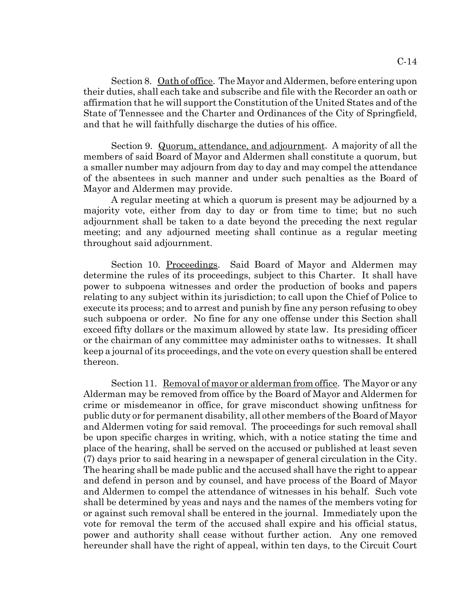Section 8. Oath of office. The Mayor and Aldermen, before entering upon their duties, shall each take and subscribe and file with the Recorder an oath or affirmation that he will support the Constitution of the United States and of the State of Tennessee and the Charter and Ordinances of the City of Springfield, and that he will faithfully discharge the duties of his office.

Section 9. Quorum, attendance, and adjournment. A majority of all the members of said Board of Mayor and Aldermen shall constitute a quorum, but a smaller number may adjourn from day to day and may compel the attendance of the absentees in such manner and under such penalties as the Board of Mayor and Aldermen may provide.

A regular meeting at which a quorum is present may be adjourned by a majority vote, either from day to day or from time to time; but no such adjournment shall be taken to a date beyond the preceding the next regular meeting; and any adjourned meeting shall continue as a regular meeting throughout said adjournment.

Section 10. Proceedings. Said Board of Mayor and Aldermen may determine the rules of its proceedings, subject to this Charter. It shall have power to subpoena witnesses and order the production of books and papers relating to any subject within its jurisdiction; to call upon the Chief of Police to execute its process; and to arrest and punish by fine any person refusing to obey such subpoena or order. No fine for any one offense under this Section shall exceed fifty dollars or the maximum allowed by state law. Its presiding officer or the chairman of any committee may administer oaths to witnesses. It shall keep a journal of its proceedings, and the vote on every question shall be entered thereon.

Section 11. Removal of mayor or alderman from office. The Mayor or any Alderman may be removed from office by the Board of Mayor and Aldermen for crime or misdemeanor in office, for grave misconduct showing unfitness for public duty or for permanent disability, all other members of the Board of Mayor and Aldermen voting for said removal. The proceedings for such removal shall be upon specific charges in writing, which, with a notice stating the time and place of the hearing, shall be served on the accused or published at least seven (7) days prior to said hearing in a newspaper of general circulation in the City. The hearing shall be made public and the accused shall have the right to appear and defend in person and by counsel, and have process of the Board of Mayor and Aldermen to compel the attendance of witnesses in his behalf. Such vote shall be determined by yeas and nays and the names of the members voting for or against such removal shall be entered in the journal. Immediately upon the vote for removal the term of the accused shall expire and his official status, power and authority shall cease without further action. Any one removed hereunder shall have the right of appeal, within ten days, to the Circuit Court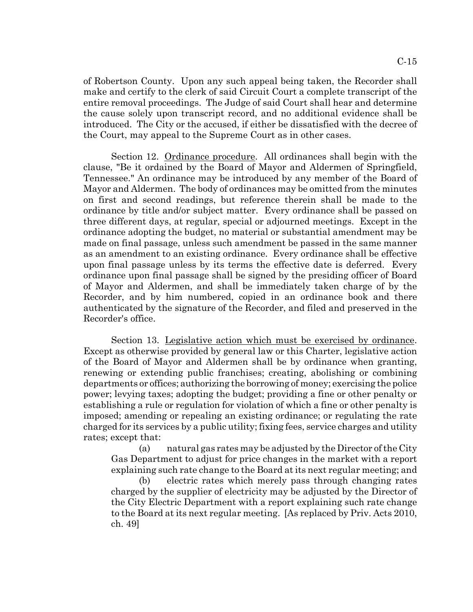of Robertson County. Upon any such appeal being taken, the Recorder shall make and certify to the clerk of said Circuit Court a complete transcript of the entire removal proceedings. The Judge of said Court shall hear and determine the cause solely upon transcript record, and no additional evidence shall be introduced. The City or the accused, if either be dissatisfied with the decree of the Court, may appeal to the Supreme Court as in other cases.

Section 12. Ordinance procedure. All ordinances shall begin with the clause, "Be it ordained by the Board of Mayor and Aldermen of Springfield, Tennessee." An ordinance may be introduced by any member of the Board of Mayor and Aldermen. The body of ordinances may be omitted from the minutes on first and second readings, but reference therein shall be made to the ordinance by title and/or subject matter. Every ordinance shall be passed on three different days, at regular, special or adjourned meetings. Except in the ordinance adopting the budget, no material or substantial amendment may be made on final passage, unless such amendment be passed in the same manner as an amendment to an existing ordinance. Every ordinance shall be effective upon final passage unless by its terms the effective date is deferred. Every ordinance upon final passage shall be signed by the presiding officer of Board of Mayor and Aldermen, and shall be immediately taken charge of by the Recorder, and by him numbered, copied in an ordinance book and there authenticated by the signature of the Recorder, and filed and preserved in the Recorder's office.

Section 13. Legislative action which must be exercised by ordinance. Except as otherwise provided by general law or this Charter, legislative action of the Board of Mayor and Aldermen shall be by ordinance when granting, renewing or extending public franchises; creating, abolishing or combining departments or offices; authorizing the borrowing of money; exercising the police power; levying taxes; adopting the budget; providing a fine or other penalty or establishing a rule or regulation for violation of which a fine or other penalty is imposed; amending or repealing an existing ordinance; or regulating the rate charged for its services by a public utility; fixing fees, service charges and utility rates; except that:

(a) natural gas rates may be adjusted by the Director of the City Gas Department to adjust for price changes in the market with a report explaining such rate change to the Board at its next regular meeting; and

(b) electric rates which merely pass through changing rates charged by the supplier of electricity may be adjusted by the Director of the City Electric Department with a report explaining such rate change to the Board at its next regular meeting. [As replaced by Priv. Acts 2010, ch. 49]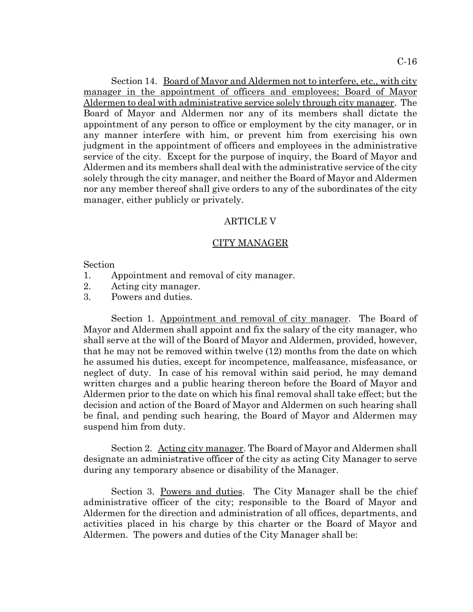Section 14. Board of Mayor and Aldermen not to interfere, etc., with city manager in the appointment of officers and employees; Board of Mayor Aldermen to deal with administrative service solely through city manager. The Board of Mayor and Aldermen nor any of its members shall dictate the appointment of any person to office or employment by the city manager, or in any manner interfere with him, or prevent him from exercising his own judgment in the appointment of officers and employees in the administrative service of the city. Except for the purpose of inquiry, the Board of Mayor and Aldermen and its members shall deal with the administrative service of the city solely through the city manager, and neither the Board of Mayor and Aldermen nor any member thereof shall give orders to any of the subordinates of the city manager, either publicly or privately.

#### ARTICLE V

#### CITY MANAGER

Section

- 1. Appointment and removal of city manager.
- 2. Acting city manager.
- 3. Powers and duties.

Section 1. Appointment and removal of city manager. The Board of Mayor and Aldermen shall appoint and fix the salary of the city manager, who shall serve at the will of the Board of Mayor and Aldermen, provided, however, that he may not be removed within twelve (12) months from the date on which he assumed his duties, except for incompetence, malfeasance, misfeasance, or neglect of duty. In case of his removal within said period, he may demand written charges and a public hearing thereon before the Board of Mayor and Aldermen prior to the date on which his final removal shall take effect; but the decision and action of the Board of Mayor and Aldermen on such hearing shall be final, and pending such hearing, the Board of Mayor and Aldermen may suspend him from duty.

Section 2. Acting city manager. The Board of Mayor and Aldermen shall designate an administrative officer of the city as acting City Manager to serve during any temporary absence or disability of the Manager.

Section 3. Powers and duties. The City Manager shall be the chief administrative officer of the city; responsible to the Board of Mayor and Aldermen for the direction and administration of all offices, departments, and activities placed in his charge by this charter or the Board of Mayor and Aldermen. The powers and duties of the City Manager shall be: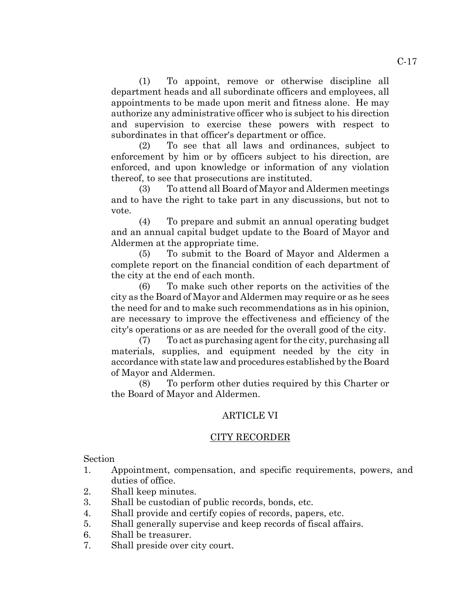(1) To appoint, remove or otherwise discipline all department heads and all subordinate officers and employees, all appointments to be made upon merit and fitness alone. He may authorize any administrative officer who is subject to his direction and supervision to exercise these powers with respect to subordinates in that officer's department or office.

(2) To see that all laws and ordinances, subject to enforcement by him or by officers subject to his direction, are enforced, and upon knowledge or information of any violation thereof, to see that prosecutions are instituted.

(3) To attend all Board of Mayor and Aldermen meetings and to have the right to take part in any discussions, but not to vote.

(4) To prepare and submit an annual operating budget and an annual capital budget update to the Board of Mayor and Aldermen at the appropriate time.

(5) To submit to the Board of Mayor and Aldermen a complete report on the financial condition of each department of the city at the end of each month.

(6) To make such other reports on the activities of the city as the Board of Mayor and Aldermen may require or as he sees the need for and to make such recommendations as in his opinion, are necessary to improve the effectiveness and efficiency of the city's operations or as are needed for the overall good of the city.

(7) To act as purchasing agent for the city, purchasing all materials, supplies, and equipment needed by the city in accordance with state law and procedures established by the Board of Mayor and Aldermen.

(8) To perform other duties required by this Charter or the Board of Mayor and Aldermen.

#### ARTICLE VI

#### CITY RECORDER

Section

- 1. Appointment, compensation, and specific requirements, powers, and duties of office.
- 2. Shall keep minutes.
- 3. Shall be custodian of public records, bonds, etc.
- 4. Shall provide and certify copies of records, papers, etc.
- 5. Shall generally supervise and keep records of fiscal affairs.
- 6. Shall be treasurer.
- 7. Shall preside over city court.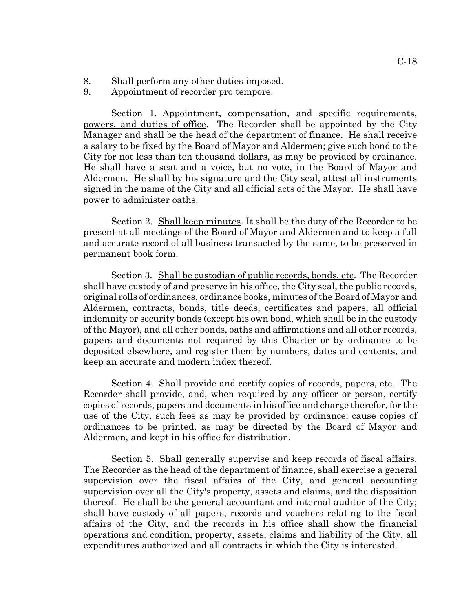- 8. Shall perform any other duties imposed.
- 9. Appointment of recorder pro tempore.

Section 1. Appointment, compensation, and specific requirements, powers, and duties of office. The Recorder shall be appointed by the City Manager and shall be the head of the department of finance. He shall receive a salary to be fixed by the Board of Mayor and Aldermen; give such bond to the City for not less than ten thousand dollars, as may be provided by ordinance. He shall have a seat and a voice, but no vote, in the Board of Mayor and Aldermen. He shall by his signature and the City seal, attest all instruments signed in the name of the City and all official acts of the Mayor. He shall have power to administer oaths.

Section 2. Shall keep minutes. It shall be the duty of the Recorder to be present at all meetings of the Board of Mayor and Aldermen and to keep a full and accurate record of all business transacted by the same, to be preserved in permanent book form.

Section 3. Shall be custodian of public records, bonds, etc. The Recorder shall have custody of and preserve in his office, the City seal, the public records, original rolls of ordinances, ordinance books, minutes of the Board of Mayor and Aldermen, contracts, bonds, title deeds, certificates and papers, all official indemnity or security bonds (except his own bond, which shall be in the custody of the Mayor), and all other bonds, oaths and affirmations and all other records, papers and documents not required by this Charter or by ordinance to be deposited elsewhere, and register them by numbers, dates and contents, and keep an accurate and modern index thereof.

Section 4. Shall provide and certify copies of records, papers, etc. The Recorder shall provide, and, when required by any officer or person, certify copies of records, papers and documents in his office and charge therefor, for the use of the City, such fees as may be provided by ordinance; cause copies of ordinances to be printed, as may be directed by the Board of Mayor and Aldermen, and kept in his office for distribution.

Section 5. Shall generally supervise and keep records of fiscal affairs. The Recorder as the head of the department of finance, shall exercise a general supervision over the fiscal affairs of the City, and general accounting supervision over all the City's property, assets and claims, and the disposition thereof. He shall be the general accountant and internal auditor of the City; shall have custody of all papers, records and vouchers relating to the fiscal affairs of the City, and the records in his office shall show the financial operations and condition, property, assets, claims and liability of the City, all expenditures authorized and all contracts in which the City is interested.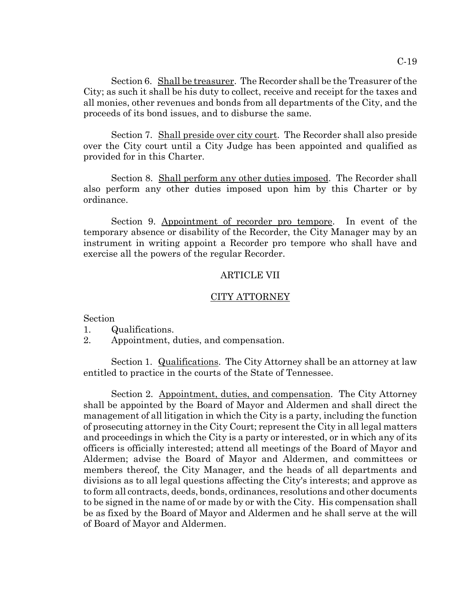Section 6. Shall be treasurer. The Recorder shall be the Treasurer of the City; as such it shall be his duty to collect, receive and receipt for the taxes and all monies, other revenues and bonds from all departments of the City, and the proceeds of its bond issues, and to disburse the same.

Section 7. Shall preside over city court. The Recorder shall also preside over the City court until a City Judge has been appointed and qualified as provided for in this Charter.

Section 8. Shall perform any other duties imposed. The Recorder shall also perform any other duties imposed upon him by this Charter or by ordinance.

Section 9. Appointment of recorder pro tempore. In event of the temporary absence or disability of the Recorder, the City Manager may by an instrument in writing appoint a Recorder pro tempore who shall have and exercise all the powers of the regular Recorder.

#### ARTICLE VII

#### CITY ATTORNEY

Section

1. Qualifications.

2. Appointment, duties, and compensation.

Section 1. Qualifications. The City Attorney shall be an attorney at law entitled to practice in the courts of the State of Tennessee.

Section 2. Appointment, duties, and compensation. The City Attorney shall be appointed by the Board of Mayor and Aldermen and shall direct the management of all litigation in which the City is a party, including the function of prosecuting attorney in the City Court; represent the City in all legal matters and proceedings in which the City is a party or interested, or in which any of its officers is officially interested; attend all meetings of the Board of Mayor and Aldermen; advise the Board of Mayor and Aldermen, and committees or members thereof, the City Manager, and the heads of all departments and divisions as to all legal questions affecting the City's interests; and approve as to form all contracts, deeds, bonds, ordinances, resolutions and other documents to be signed in the name of or made by or with the City. His compensation shall be as fixed by the Board of Mayor and Aldermen and he shall serve at the will of Board of Mayor and Aldermen.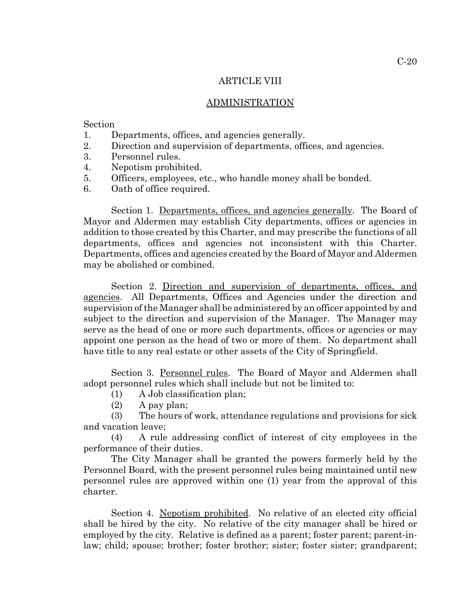#### ARTICLE VIII

#### ADMINISTRATION

Section

- 1. Departments, offices, and agencies generally.
- 2. Direction and supervision of departments, offices, and agencies.
- 3. Personnel rules.
- 4. Nepotism prohibited.
- 5. Officers, employees, etc., who handle money shall be bonded.
- 6. Oath of office required.

Section 1. Departments, offices, and agencies generally. The Board of Mayor and Aldermen may establish City departments, offices or agencies in addition to those created by this Charter, and may prescribe the functions of all departments, offices and agencies not inconsistent with this Charter. Departments, offices and agencies created by the Board of Mayor and Aldermen may be abolished or combined.

Section 2. Direction and supervision of departments, offices, and agencies. All Departments, Offices and Agencies under the direction and supervision of the Manager shall be administered by an officer appointed by and subject to the direction and supervision of the Manager. The Manager may serve as the head of one or more such departments, offices or agencies or may appoint one person as the head of two or more of them. No department shall have title to any real estate or other assets of the City of Springfield.

Section 3. Personnel rules. The Board of Mayor and Aldermen shall adopt personnel rules which shall include but not be limited to:

- (1) A Job classification plan;
- (2) A pay plan;

(3) The hours of work, attendance regulations and provisions for sick and vacation leave;

(4) A rule addressing conflict of interest of city employees in the performance of their duties.

The City Manager shall be granted the powers formerly held by the Personnel Board, with the present personnel rules being maintained until new personnel rules are approved within one (1) year from the approval of this charter.

Section 4. Nepotism prohibited. No relative of an elected city official shall be hired by the city. No relative of the city manager shall be hired or employed by the city. Relative is defined as a parent; foster parent; parent-inlaw; child; spouse; brother; foster brother; sister; foster sister; grandparent;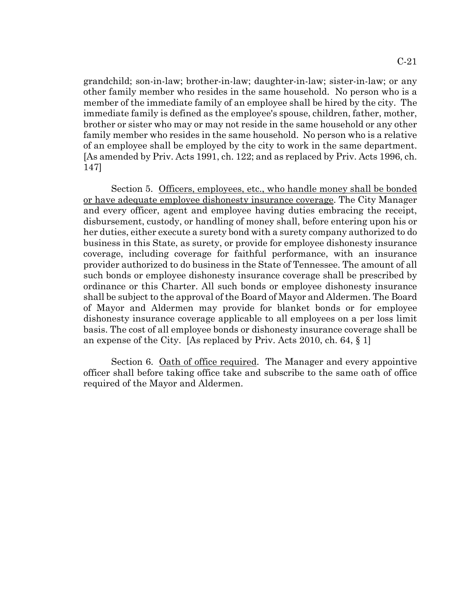grandchild; son-in-law; brother-in-law; daughter-in-law; sister-in-law; or any other family member who resides in the same household. No person who is a member of the immediate family of an employee shall be hired by the city. The immediate family is defined as the employee's spouse, children, father, mother, brother or sister who may or may not reside in the same household or any other family member who resides in the same household. No person who is a relative of an employee shall be employed by the city to work in the same department. [As amended by Priv. Acts 1991, ch. 122; and as replaced by Priv. Acts 1996, ch. 147]

Section 5. Officers, employees, etc., who handle money shall be bonded or have adequate employee dishonesty insurance coverage. The City Manager and every officer, agent and employee having duties embracing the receipt, disbursement, custody, or handling of money shall, before entering upon his or her duties, either execute a surety bond with a surety company authorized to do business in this State, as surety, or provide for employee dishonesty insurance coverage, including coverage for faithful performance, with an insurance provider authorized to do business in the State of Tennessee. The amount of all such bonds or employee dishonesty insurance coverage shall be prescribed by ordinance or this Charter. All such bonds or employee dishonesty insurance shall be subject to the approval of the Board of Mayor and Aldermen. The Board of Mayor and Aldermen may provide for blanket bonds or for employee dishonesty insurance coverage applicable to all employees on a per loss limit basis. The cost of all employee bonds or dishonesty insurance coverage shall be an expense of the City. [As replaced by Priv. Acts 2010, ch. 64, § 1]

Section 6. Oath of office required. The Manager and every appointive officer shall before taking office take and subscribe to the same oath of office required of the Mayor and Aldermen.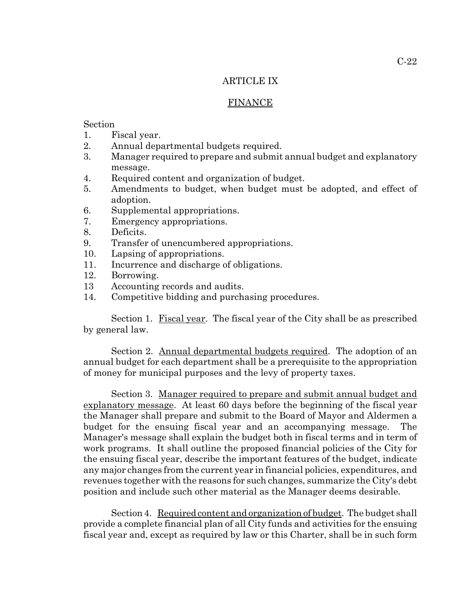#### ARTICLE IX

#### FINANCE

# Section

- 1. Fiscal year.
- 2. Annual departmental budgets required.
- 3. Manager required to prepare and submit annual budget and explanatory message.
- 4. Required content and organization of budget.
- 5. Amendments to budget, when budget must be adopted, and effect of adoption.
- 6. Supplemental appropriations.
- 7. Emergency appropriations.
- 8. Deficits.
- 9. Transfer of unencumbered appropriations.
- 10. Lapsing of appropriations.
- 11. Incurrence and discharge of obligations.
- 12. Borrowing.
- 13 Accounting records and audits.
- 14. Competitive bidding and purchasing procedures.

Section 1. Fiscal year. The fiscal year of the City shall be as prescribed by general law.

Section 2. Annual departmental budgets required. The adoption of an annual budget for each department shall be a prerequisite to the appropriation of money for municipal purposes and the levy of property taxes.

Section 3. Manager required to prepare and submit annual budget and explanatory message. At least 60 days before the beginning of the fiscal year the Manager shall prepare and submit to the Board of Mayor and Aldermen a budget for the ensuing fiscal year and an accompanying message. The Manager's message shall explain the budget both in fiscal terms and in term of work programs. It shall outline the proposed financial policies of the City for the ensuing fiscal year, describe the important features of the budget, indicate any major changes from the current year in financial policies, expenditures, and revenues together with the reasons for such changes, summarize the City's debt position and include such other material as the Manager deems desirable.

Section 4. Required content and organization of budget. The budget shall provide a complete financial plan of all City funds and activities for the ensuing fiscal year and, except as required by law or this Charter, shall be in such form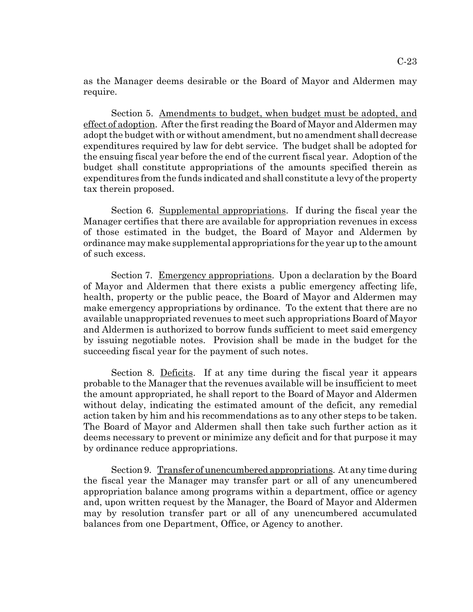Section 5. Amendments to budget, when budget must be adopted, and effect of adoption. After the first reading the Board of Mayor and Aldermen may adopt the budget with or without amendment, but no amendment shall decrease expenditures required by law for debt service. The budget shall be adopted for the ensuing fiscal year before the end of the current fiscal year. Adoption of the budget shall constitute appropriations of the amounts specified therein as expenditures from the funds indicated and shall constitute a levy of the property tax therein proposed.

Section 6. Supplemental appropriations. If during the fiscal year the Manager certifies that there are available for appropriation revenues in excess of those estimated in the budget, the Board of Mayor and Aldermen by ordinance may make supplemental appropriations for the year up to the amount of such excess.

Section 7. <u>Emergency appropriations</u>. Upon a declaration by the Board of Mayor and Aldermen that there exists a public emergency affecting life, health, property or the public peace, the Board of Mayor and Aldermen may make emergency appropriations by ordinance. To the extent that there are no available unappropriated revenues to meet such appropriations Board of Mayor and Aldermen is authorized to borrow funds sufficient to meet said emergency by issuing negotiable notes. Provision shall be made in the budget for the succeeding fiscal year for the payment of such notes.

Section 8. Deficits. If at any time during the fiscal year it appears probable to the Manager that the revenues available will be insufficient to meet the amount appropriated, he shall report to the Board of Mayor and Aldermen without delay, indicating the estimated amount of the deficit, any remedial action taken by him and his recommendations as to any other steps to be taken. The Board of Mayor and Aldermen shall then take such further action as it deems necessary to prevent or minimize any deficit and for that purpose it may by ordinance reduce appropriations.

Section 9. Transfer of unencumbered appropriations. At any time during the fiscal year the Manager may transfer part or all of any unencumbered appropriation balance among programs within a department, office or agency and, upon written request by the Manager, the Board of Mayor and Aldermen may by resolution transfer part or all of any unencumbered accumulated balances from one Department, Office, or Agency to another.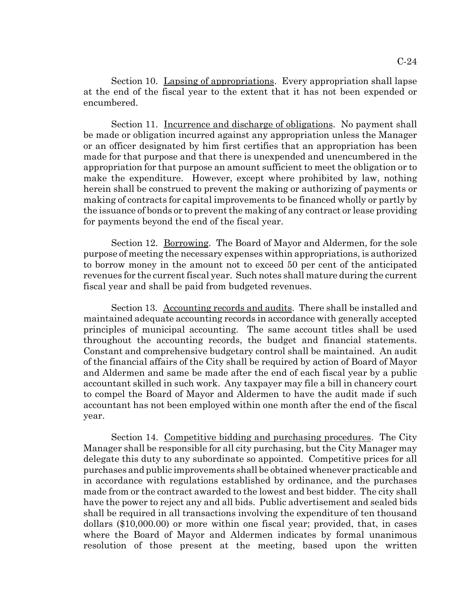Section 10. Lapsing of appropriations. Every appropriation shall lapse at the end of the fiscal year to the extent that it has not been expended or encumbered.

Section 11. Incurrence and discharge of obligations. No payment shall be made or obligation incurred against any appropriation unless the Manager or an officer designated by him first certifies that an appropriation has been made for that purpose and that there is unexpended and unencumbered in the appropriation for that purpose an amount sufficient to meet the obligation or to make the expenditure. However, except where prohibited by law, nothing herein shall be construed to prevent the making or authorizing of payments or making of contracts for capital improvements to be financed wholly or partly by the issuance of bonds or to prevent the making of any contract or lease providing for payments beyond the end of the fiscal year.

Section 12. Borrowing. The Board of Mayor and Aldermen, for the sole purpose of meeting the necessary expenses within appropriations, is authorized to borrow money in the amount not to exceed 50 per cent of the anticipated revenues for the current fiscal year. Such notes shall mature during the current fiscal year and shall be paid from budgeted revenues.

Section 13. Accounting records and audits. There shall be installed and maintained adequate accounting records in accordance with generally accepted principles of municipal accounting. The same account titles shall be used throughout the accounting records, the budget and financial statements. Constant and comprehensive budgetary control shall be maintained. An audit of the financial affairs of the City shall be required by action of Board of Mayor and Aldermen and same be made after the end of each fiscal year by a public accountant skilled in such work. Any taxpayer may file a bill in chancery court to compel the Board of Mayor and Aldermen to have the audit made if such accountant has not been employed within one month after the end of the fiscal year.

Section 14. Competitive bidding and purchasing procedures. The City Manager shall be responsible for all city purchasing, but the City Manager may delegate this duty to any subordinate so appointed. Competitive prices for all purchases and public improvements shall be obtained whenever practicable and in accordance with regulations established by ordinance, and the purchases made from or the contract awarded to the lowest and best bidder. The city shall have the power to reject any and all bids. Public advertisement and sealed bids shall be required in all transactions involving the expenditure of ten thousand dollars (\$10,000.00) or more within one fiscal year; provided, that, in cases where the Board of Mayor and Aldermen indicates by formal unanimous resolution of those present at the meeting, based upon the written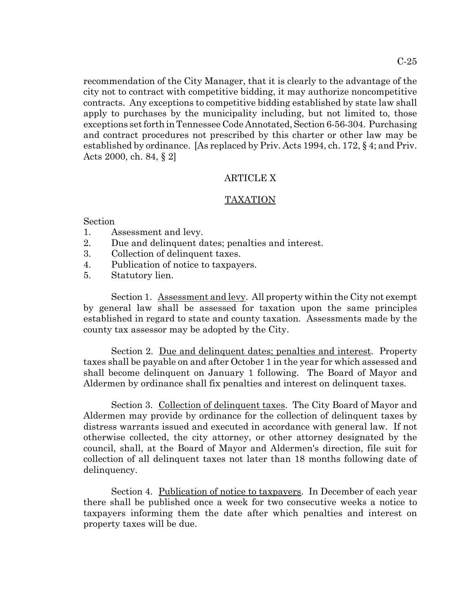recommendation of the City Manager, that it is clearly to the advantage of the city not to contract with competitive bidding, it may authorize noncompetitive contracts. Any exceptions to competitive bidding established by state law shall apply to purchases by the municipality including, but not limited to, those exceptions set forth in Tennessee Code Annotated, Section 6-56-304. Purchasing and contract procedures not prescribed by this charter or other law may be established by ordinance. [As replaced by Priv. Acts 1994, ch. 172, § 4; and Priv. Acts 2000, ch. 84, § 2]

## ARTICLE X

## TAXATION

## Section

- 1. Assessment and levy.
- 2. Due and delinquent dates; penalties and interest.
- 3. Collection of delinquent taxes.
- 4. Publication of notice to taxpayers.
- 5. Statutory lien.

Section 1. Assessment and levy. All property within the City not exempt by general law shall be assessed for taxation upon the same principles established in regard to state and county taxation. Assessments made by the county tax assessor may be adopted by the City.

Section 2. Due and delinquent dates; penalties and interest. Property taxes shall be payable on and after October 1 in the year for which assessed and shall become delinquent on January 1 following. The Board of Mayor and Aldermen by ordinance shall fix penalties and interest on delinquent taxes.

Section 3. Collection of delinquent taxes. The City Board of Mayor and Aldermen may provide by ordinance for the collection of delinquent taxes by distress warrants issued and executed in accordance with general law. If not otherwise collected, the city attorney, or other attorney designated by the council, shall, at the Board of Mayor and Aldermen's direction, file suit for collection of all delinquent taxes not later than 18 months following date of delinquency.

Section 4. Publication of notice to taxpayers. In December of each year there shall be published once a week for two consecutive weeks a notice to taxpayers informing them the date after which penalties and interest on property taxes will be due.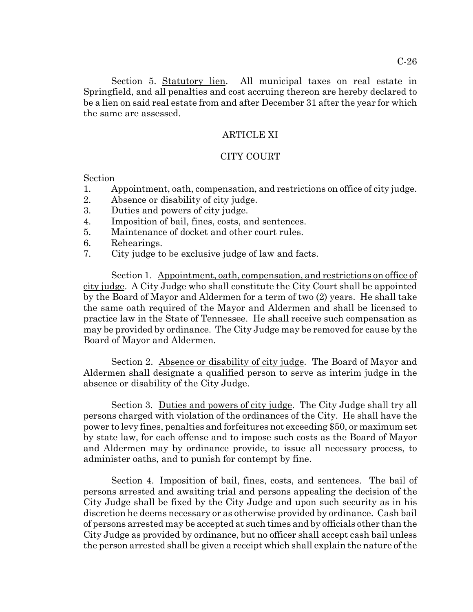Section 5. Statutory lien. All municipal taxes on real estate in Springfield, and all penalties and cost accruing thereon are hereby declared to be a lien on said real estate from and after December 31 after the year for which the same are assessed.

#### ARTICLE XI

#### CITY COURT

Section

- 1. Appointment, oath, compensation, and restrictions on office of city judge.
- 2. Absence or disability of city judge.
- 3. Duties and powers of city judge.
- 4. Imposition of bail, fines, costs, and sentences.
- 5. Maintenance of docket and other court rules.
- 6. Rehearings.
- 7. City judge to be exclusive judge of law and facts.

Section 1. Appointment, oath, compensation, and restrictions on office of city judge. A City Judge who shall constitute the City Court shall be appointed by the Board of Mayor and Aldermen for a term of two (2) years. He shall take the same oath required of the Mayor and Aldermen and shall be licensed to practice law in the State of Tennessee. He shall receive such compensation as may be provided by ordinance. The City Judge may be removed for cause by the Board of Mayor and Aldermen.

Section 2. Absence or disability of city judge. The Board of Mayor and Aldermen shall designate a qualified person to serve as interim judge in the absence or disability of the City Judge.

Section 3. Duties and powers of city judge. The City Judge shall try all persons charged with violation of the ordinances of the City. He shall have the power to levy fines, penalties and forfeitures not exceeding \$50, or maximum set by state law, for each offense and to impose such costs as the Board of Mayor and Aldermen may by ordinance provide, to issue all necessary process, to administer oaths, and to punish for contempt by fine.

Section 4. Imposition of bail, fines, costs, and sentences. The bail of persons arrested and awaiting trial and persons appealing the decision of the City Judge shall be fixed by the City Judge and upon such security as in his discretion he deems necessary or as otherwise provided by ordinance. Cash bail of persons arrested may be accepted at such times and by officials other than the City Judge as provided by ordinance, but no officer shall accept cash bail unless the person arrested shall be given a receipt which shall explain the nature of the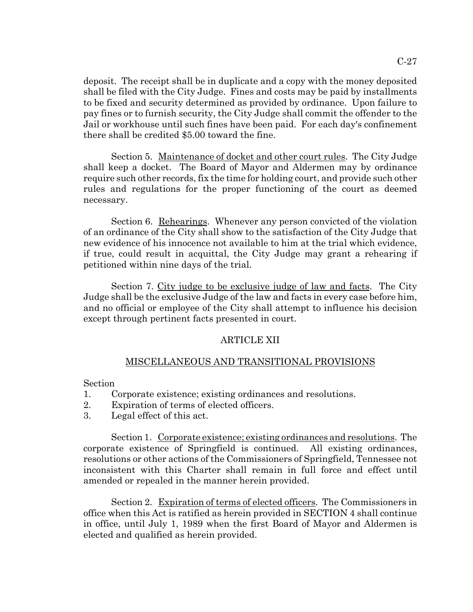deposit. The receipt shall be in duplicate and a copy with the money deposited shall be filed with the City Judge. Fines and costs may be paid by installments to be fixed and security determined as provided by ordinance. Upon failure to pay fines or to furnish security, the City Judge shall commit the offender to the Jail or workhouse until such fines have been paid. For each day's confinement there shall be credited \$5.00 toward the fine.

Section 5. Maintenance of docket and other court rules. The City Judge shall keep a docket. The Board of Mayor and Aldermen may by ordinance require such other records, fix the time for holding court, and provide such other rules and regulations for the proper functioning of the court as deemed necessary.

Section 6. Rehearings. Whenever any person convicted of the violation of an ordinance of the City shall show to the satisfaction of the City Judge that new evidence of his innocence not available to him at the trial which evidence, if true, could result in acquittal, the City Judge may grant a rehearing if petitioned within nine days of the trial.

Section 7. <u>City judge to be exclusive judge of law and facts</u>. The City Judge shall be the exclusive Judge of the law and facts in every case before him, and no official or employee of the City shall attempt to influence his decision except through pertinent facts presented in court.

# ARTICLE XII

# MISCELLANEOUS AND TRANSITIONAL PROVISIONS

# Section

- 1. Corporate existence; existing ordinances and resolutions.
- 2. Expiration of terms of elected officers.
- 3. Legal effect of this act.

Section 1. Corporate existence; existing ordinances and resolutions. The corporate existence of Springfield is continued. All existing ordinances, resolutions or other actions of the Commissioners of Springfield, Tennessee not inconsistent with this Charter shall remain in full force and effect until amended or repealed in the manner herein provided.

Section 2. Expiration of terms of elected officers. The Commissioners in office when this Act is ratified as herein provided in SECTION 4 shall continue in office, until July 1, 1989 when the first Board of Mayor and Aldermen is elected and qualified as herein provided.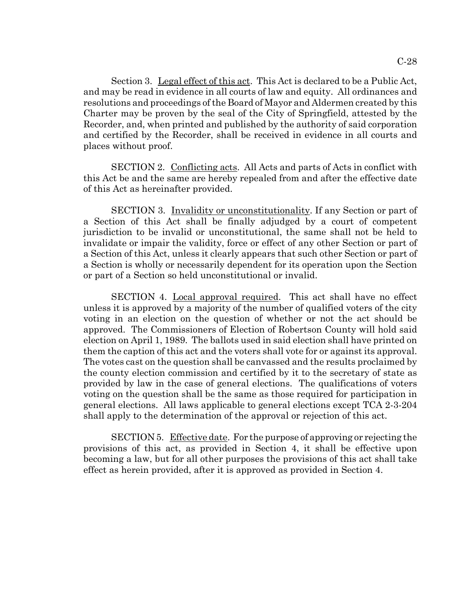Section 3. Legal effect of this act. This Act is declared to be a Public Act, and may be read in evidence in all courts of law and equity. All ordinances and resolutions and proceedings of the Board of Mayor and Aldermen created by this Charter may be proven by the seal of the City of Springfield, attested by the Recorder, and, when printed and published by the authority of said corporation and certified by the Recorder, shall be received in evidence in all courts and places without proof.

SECTION 2. Conflicting acts. All Acts and parts of Acts in conflict with this Act be and the same are hereby repealed from and after the effective date of this Act as hereinafter provided.

SECTION 3. Invalidity or unconstitutionality. If any Section or part of a Section of this Act shall be finally adjudged by a court of competent jurisdiction to be invalid or unconstitutional, the same shall not be held to invalidate or impair the validity, force or effect of any other Section or part of a Section of this Act, unless it clearly appears that such other Section or part of a Section is wholly or necessarily dependent for its operation upon the Section or part of a Section so held unconstitutional or invalid.

SECTION 4. Local approval required. This act shall have no effect unless it is approved by a majority of the number of qualified voters of the city voting in an election on the question of whether or not the act should be approved. The Commissioners of Election of Robertson County will hold said election on April 1, 1989. The ballots used in said election shall have printed on them the caption of this act and the voters shall vote for or against its approval. The votes cast on the question shall be canvassed and the results proclaimed by the county election commission and certified by it to the secretary of state as provided by law in the case of general elections. The qualifications of voters voting on the question shall be the same as those required for participation in general elections. All laws applicable to general elections except TCA 2-3-204 shall apply to the determination of the approval or rejection of this act.

SECTION 5. Effective date. For the purpose of approving or rejecting the provisions of this act, as provided in Section 4, it shall be effective upon becoming a law, but for all other purposes the provisions of this act shall take effect as herein provided, after it is approved as provided in Section 4.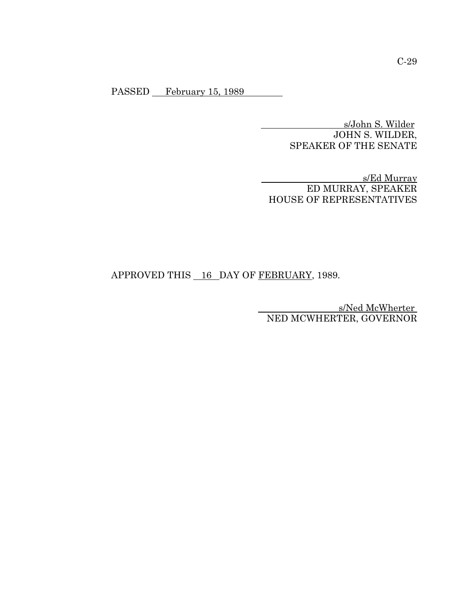PASSED February 15, 1989

 s/John S. Wilder JOHN S. WILDER, SPEAKER OF THE SENATE

 s/Ed Murray ED MURRAY, SPEAKER HOUSE OF REPRESENTATIVES

# APPROVED THIS 16 DAY OF FEBRUARY, 1989.

s/Ned McWherter NED MCWHERTER, GOVERNOR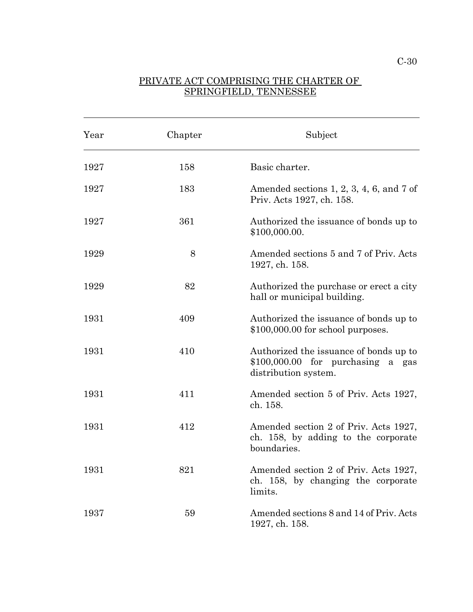## PRIVATE ACT COMPRISING THE CHARTER OF SPRINGFIELD, TENNESSEE

 $\overline{a}$ 

| Year | Chapter | Subject                                                                                              |
|------|---------|------------------------------------------------------------------------------------------------------|
| 1927 | 158     | Basic charter.                                                                                       |
| 1927 | 183     | Amended sections $1, 2, 3, 4, 6$ , and $7$ of<br>Priv. Acts 1927, ch. 158.                           |
| 1927 | 361     | Authorized the issuance of bonds up to<br>\$100,000.00.                                              |
| 1929 | 8       | Amended sections 5 and 7 of Priv. Acts<br>1927, ch. 158.                                             |
| 1929 | 82      | Authorized the purchase or erect a city<br>hall or municipal building.                               |
| 1931 | 409     | Authorized the issuance of bonds up to<br>$$100,000.00$ for school purposes.                         |
| 1931 | 410     | Authorized the issuance of bonds up to<br>$$100,000.00$ for purchasing a gas<br>distribution system. |
| 1931 | 411     | Amended section 5 of Priv. Acts 1927,<br>ch. 158.                                                    |
| 1931 | 412     | Amended section 2 of Priv. Acts 1927,<br>ch. 158, by adding to the corporate<br>boundaries.          |
| 1931 | 821     | Amended section 2 of Priv. Acts 1927,<br>ch. 158, by changing the corporate<br>limits.               |
| 1937 | 59      | Amended sections 8 and 14 of Priv. Acts<br>1927, ch. 158.                                            |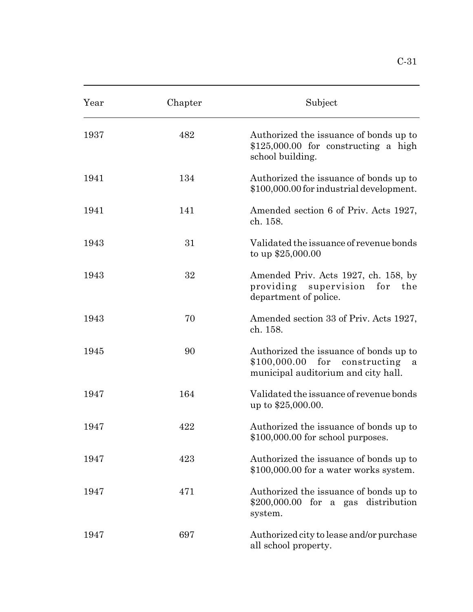| Year | Chapter | Subject                                                                                             |
|------|---------|-----------------------------------------------------------------------------------------------------|
| 1937 | 482     | Authorized the issuance of bonds up to<br>$$125,000.00$ for constructing a high<br>school building. |
| 1941 | 134     | Authorized the issuance of bonds up to<br>\$100,000.00 for industrial development.                  |
| 1941 | 141     | Amended section 6 of Priv. Acts 1927,<br>ch. 158.                                                   |
| 1943 | 31      | Validated the issuance of revenue bonds<br>to up $$25,000.00$                                       |
| 1943 | 32      | Amended Priv. Acts 1927, ch. 158, by<br>providing supervision for the<br>department of police.      |
| 1943 | 70      | Amended section 33 of Priv. Acts 1927,<br>ch. 158.                                                  |
|      |         |                                                                                                     |

| 1943 | 31  | Validated the issuance of revenue bonds<br>to up $$25,000.00$                                                        |
|------|-----|----------------------------------------------------------------------------------------------------------------------|
| 1943 | 32  | Amended Priv. Acts 1927, ch. 158, by<br>providing supervision for the<br>department of police.                       |
| 1943 | 70  | Amended section 33 of Priv. Acts 1927,<br>ch. 158.                                                                   |
| 1945 | 90  | Authorized the issuance of bonds up to<br>$$100,000.00$ for constructing<br>a<br>municipal auditorium and city hall. |
| 1947 | 164 | Validated the issuance of revenue bonds<br>up to \$25,000.00.                                                        |
| 1947 | 422 | Authorized the issuance of bonds up to<br>$$100,000.00$ for school purposes.                                         |

| 1947 | 423 | Authorized the issuance of bonds up to |
|------|-----|----------------------------------------|
|      |     | \$100,000.00 for a water works system. |

| 1947 | 471 | Authorized the issuance of bonds up to          |
|------|-----|-------------------------------------------------|
|      |     | $$200,000.00$ for a gas distribution<br>system. |
|      |     |                                                 |

1947 697 Authorized city to lease and/or purchase all school property.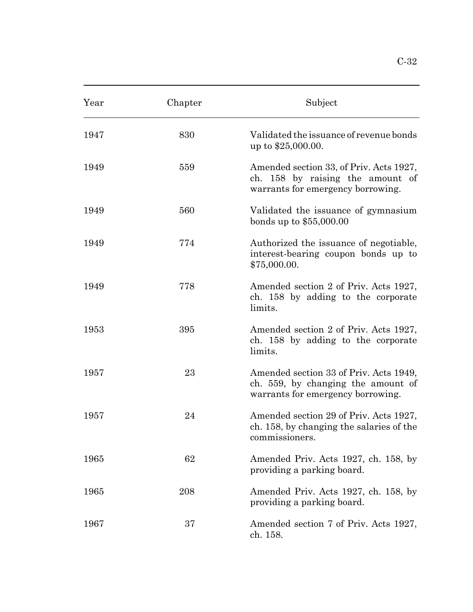| Year | Chapter | Subject                                                                                                           |
|------|---------|-------------------------------------------------------------------------------------------------------------------|
| 1947 | 830     | Validated the issuance of revenue bonds<br>up to \$25,000.00.                                                     |
| 1949 | 559     | Amended section 33, of Priv. Acts 1927,<br>ch. 158 by raising the amount of<br>warrants for emergency borrowing.  |
| 1949 | 560     | Validated the issuance of gymnasium<br>bonds up to $$55,000.00$                                                   |
| 1949 | 774     | Authorized the issuance of negotiable,<br>interest-bearing coupon bonds up to<br>\$75,000.00.                     |
| 1949 | 778     | Amended section 2 of Priv. Acts 1927,<br>ch. 158 by adding to the corporate<br>limits.                            |
| 1953 | 395     | Amended section 2 of Priv. Acts 1927,<br>ch. 158 by adding to the corporate<br>limits.                            |
| 1957 | 23      | Amended section 33 of Priv. Acts 1949,<br>ch. 559, by changing the amount of<br>warrants for emergency borrowing. |
| 1957 | 24      | Amended section 29 of Priv. Acts 1927,<br>ch. 158, by changing the salaries of the<br>commissioners.              |
| 1965 | 62      | Amended Priv. Acts 1927, ch. 158, by<br>providing a parking board.                                                |
| 1965 | 208     | Amended Priv. Acts 1927, ch. 158, by<br>providing a parking board.                                                |
| 1967 | 37      | Amended section 7 of Priv. Acts 1927,<br>ch. 158.                                                                 |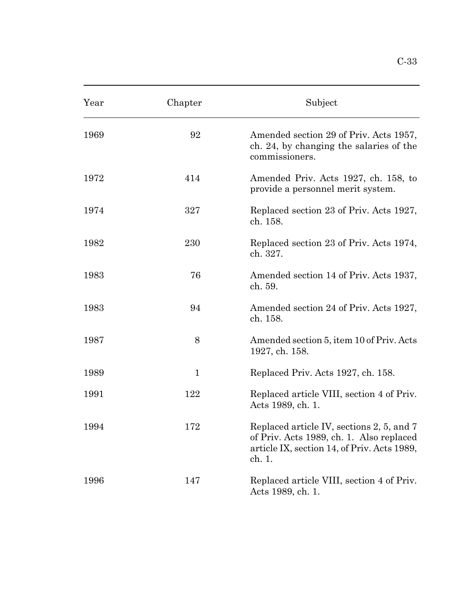| Year | Chapter      | Subject                                                                                                                                        |
|------|--------------|------------------------------------------------------------------------------------------------------------------------------------------------|
| 1969 | 92           | Amended section 29 of Priv. Acts 1957,<br>ch. 24, by changing the salaries of the<br>commissioners.                                            |
| 1972 | 414          | Amended Priv. Acts 1927, ch. 158, to<br>provide a personnel merit system.                                                                      |
| 1974 | 327          | Replaced section 23 of Priv. Acts 1927,<br>ch. 158.                                                                                            |
| 1982 | 230          | Replaced section 23 of Priv. Acts 1974,<br>ch. 327.                                                                                            |
| 1983 | 76           | Amended section 14 of Priv. Acts 1937,<br>ch. 59.                                                                                              |
| 1983 | 94           | Amended section 24 of Priv. Acts 1927,<br>ch. 158.                                                                                             |
| 1987 | 8            | Amended section 5, item 10 of Priv. Acts<br>1927, ch. 158.                                                                                     |
| 1989 | $\mathbf{1}$ | Replaced Priv. Acts 1927, ch. 158.                                                                                                             |
| 1991 | 122          | Replaced article VIII, section 4 of Priv.<br>Acts 1989, ch. 1.                                                                                 |
| 1994 | 172          | Replaced article IV, sections 2, 5, and 7<br>of Priv. Acts 1989, ch. 1. Also replaced<br>article IX, section 14, of Priv. Acts 1989,<br>ch. 1. |
| 1996 | 147          | Replaced article VIII, section 4 of Priv.<br>Acts 1989, ch. 1.                                                                                 |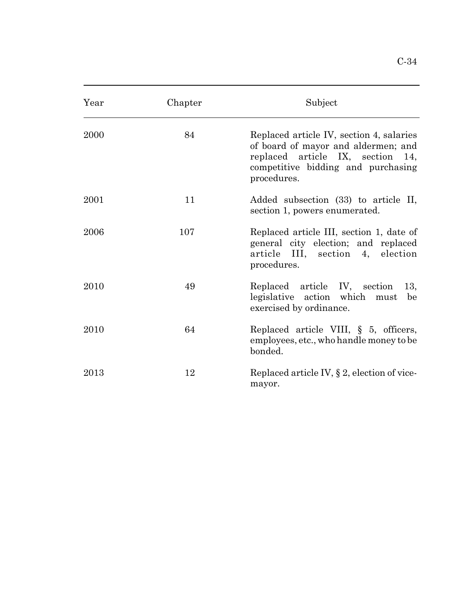| Year | Chapter | Subject                                                                                                                                                                  |
|------|---------|--------------------------------------------------------------------------------------------------------------------------------------------------------------------------|
| 2000 | 84      | Replaced article IV, section 4, salaries<br>of board of mayor and aldermen; and<br>replaced article IX, section 14,<br>competitive bidding and purchasing<br>procedures. |
| 2001 | 11      | Added subsection (33) to article II,<br>section 1, powers enumerated.                                                                                                    |
| 2006 | 107     | Replaced article III, section 1, date of<br>general city election; and replaced<br>article III, section 4, election<br>procedures.                                       |
| 2010 | 49      | Replaced article IV, section<br>13,<br>legislative action which must<br>be<br>exercised by ordinance.                                                                    |
| 2010 | 64      | Replaced article VIII, $\S$ 5, officers,<br>employees, etc., who handle money to be<br>bonded.                                                                           |
| 2013 | 12      | Replaced article IV, § 2, election of vice-                                                                                                                              |

mayor.

 $\overline{a}$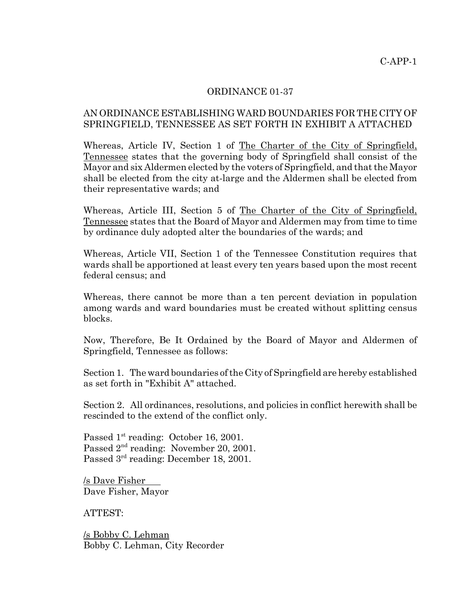## ORDINANCE 01-37

## AN ORDINANCE ESTABLISHING WARD BOUNDARIES FOR THE CITY OF SPRINGFIELD, TENNESSEE AS SET FORTH IN EXHIBIT A ATTACHED

Whereas, Article IV, Section 1 of The Charter of the City of Springfield, Tennessee states that the governing body of Springfield shall consist of the Mayor and six Aldermen elected by the voters of Springfield, and that the Mayor shall be elected from the city at-large and the Aldermen shall be elected from their representative wards; and

Whereas, Article III, Section 5 of The Charter of the City of Springfield, Tennessee states that the Board of Mayor and Aldermen may from time to time by ordinance duly adopted alter the boundaries of the wards; and

Whereas, Article VII, Section 1 of the Tennessee Constitution requires that wards shall be apportioned at least every ten years based upon the most recent federal census; and

Whereas, there cannot be more than a ten percent deviation in population among wards and ward boundaries must be created without splitting census blocks.

Now, Therefore, Be It Ordained by the Board of Mayor and Aldermen of Springfield, Tennessee as follows:

Section 1. The ward boundaries of the City of Springfield are hereby established as set forth in "Exhibit A" attached.

Section 2. All ordinances, resolutions, and policies in conflict herewith shall be rescinded to the extend of the conflict only.

Passed 1<sup>st</sup> reading: October 16, 2001. Passed  $2<sup>nd</sup>$  reading: November 20, 2001. Passed 3<sup>rd</sup> reading: December 18, 2001.

/s Dave Fisher Dave Fisher, Mayor

ATTEST:

/s Bobby C. Lehman Bobby C. Lehman, City Recorder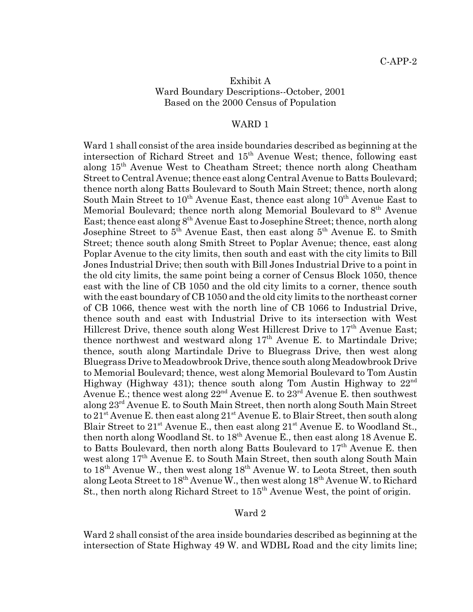## Exhibit A Ward Boundary Descriptions--October, 2001 Based on the 2000 Census of Population

#### WARD 1

Ward 1 shall consist of the area inside boundaries described as beginning at the intersection of Richard Street and  $15<sup>th</sup>$  Avenue West; thence, following east along 15th Avenue West to Cheatham Street; thence north along Cheatham Street to Central Avenue; thence east along Central Avenue to Batts Boulevard; thence north along Batts Boulevard to South Main Street; thence, north along South Main Street to  $10^{th}$  Avenue East, thence east along  $10^{th}$  Avenue East to Memorial Boulevard; thence north along Memorial Boulevard to  $8<sup>th</sup>$  Avenue East; thence east along  $8^{th}$  Avenue East to Josephine Street; thence, north along Josephine Street to  $5^{\text{th}}$  Avenue East, then east along  $5^{\text{th}}$  Avenue E. to Smith Street; thence south along Smith Street to Poplar Avenue; thence, east along Poplar Avenue to the city limits, then south and east with the city limits to Bill Jones Industrial Drive; then south with Bill Jones Industrial Drive to a point in the old city limits, the same point being a corner of Census Block 1050, thence east with the line of CB 1050 and the old city limits to a corner, thence south with the east boundary of CB 1050 and the old city limits to the northeast corner of CB 1066, thence west with the north line of CB 1066 to Industrial Drive, thence south and east with Industrial Drive to its intersection with West Hillcrest Drive, thence south along West Hillcrest Drive to  $17<sup>th</sup>$  Avenue East; thence northwest and westward along  $17<sup>th</sup>$  Avenue E. to Martindale Drive; thence, south along Martindale Drive to Bluegrass Drive, then west along Bluegrass Drive to Meadowbrook Drive, thence south along Meadowbrook Drive to Memorial Boulevard; thence, west along Memorial Boulevard to Tom Austin Highway (Highway 431); thence south along Tom Austin Highway to  $22^{\text{nd}}$ Avenue E.; thence west along 22nd Avenue E. to 23rd Avenue E. then southwest along 23rd Avenue E. to South Main Street, then north along South Main Street to  $21^{st}$  Avenue E. then east along  $21^{st}$  Avenue E. to Blair Street, then south along Blair Street to  $21^{st}$  Avenue E., then east along  $21^{st}$  Avenue E. to Woodland St., then north along Woodland St. to 18<sup>th</sup> Avenue E., then east along 18 Avenue E. to Batts Boulevard, then north along Batts Boulevard to  $17<sup>th</sup>$  Avenue E. then west along  $17<sup>th</sup>$  Avenue E. to South Main Street, then south along South Main to 18<sup>th</sup> Avenue W., then west along 18<sup>th</sup> Avenue W. to Leota Street, then south along Leota Street to  $18^{th}$  Avenue W., then west along  $18^{th}$  Avenue W. to Richard St., then north along Richard Street to  $15<sup>th</sup>$  Avenue West, the point of origin.

#### Ward 2

Ward 2 shall consist of the area inside boundaries described as beginning at the intersection of State Highway 49 W. and WDBL Road and the city limits line;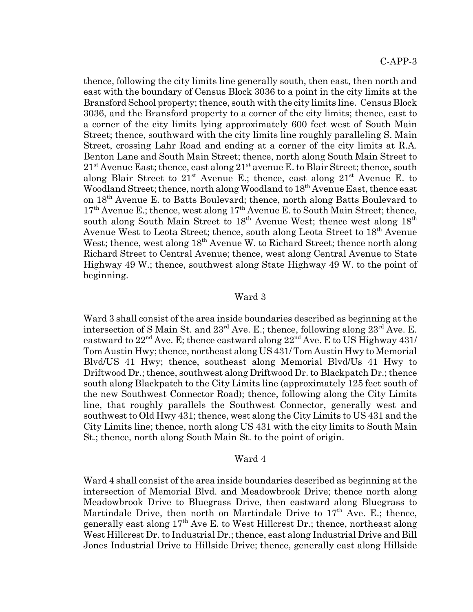thence, following the city limits line generally south, then east, then north and east with the boundary of Census Block 3036 to a point in the city limits at the Bransford School property; thence, south with the city limits line. Census Block 3036, and the Bransford property to a corner of the city limits; thence, east to a corner of the city limits lying approximately 600 feet west of South Main Street; thence, southward with the city limits line roughly paralleling S. Main Street, crossing Lahr Road and ending at a corner of the city limits at R.A. Benton Lane and South Main Street; thence, north along South Main Street to  $21<sup>st</sup>$  Avenue East; thence, east along  $21<sup>st</sup>$  avenue E. to Blair Street; thence, south along Blair Street to  $21^{st}$  Avenue E.; thence, east along  $21^{st}$  Avenue E. to Woodland Street; thence, north along Woodland to 18<sup>th</sup> Avenue East, thence east on 18th Avenue E. to Batts Boulevard; thence, north along Batts Boulevard to  $17<sup>th</sup>$  Avenue E.; thence, west along  $17<sup>th</sup>$  Avenue E. to South Main Street; thence, south along South Main Street to  $18<sup>th</sup>$  Avenue West; thence west along  $18<sup>th</sup>$ Avenue West to Leota Street; thence, south along Leota Street to 18<sup>th</sup> Avenue West; thence, west along  $18<sup>th</sup>$  Avenue W. to Richard Street; thence north along Richard Street to Central Avenue; thence, west along Central Avenue to State Highway 49 W.; thence, southwest along State Highway 49 W. to the point of beginning.

#### Ward 3

Ward 3 shall consist of the area inside boundaries described as beginning at the intersection of S Main St. and  $23^{\text{rd}}$  Ave. E.; thence, following along  $23^{\text{rd}}$  Ave. E. eastward to  $22<sup>nd</sup>$  Ave. E; thence eastward along  $22<sup>nd</sup>$  Ave. E to US Highway 431/ Tom Austin Hwy; thence, northeast along US 431/ Tom Austin Hwy to Memorial Blvd/US 41 Hwy; thence, southeast along Memorial Blvd/Us 41 Hwy to Driftwood Dr.; thence, southwest along Driftwood Dr. to Blackpatch Dr.; thence south along Blackpatch to the City Limits line (approximately 125 feet south of the new Southwest Connector Road); thence, following along the City Limits line, that roughly parallels the Southwest Connector, generally west and southwest to Old Hwy 431; thence, west along the City Limits to US 431 and the City Limits line; thence, north along US 431 with the city limits to South Main St.; thence, north along South Main St. to the point of origin.

#### Ward 4

Ward 4 shall consist of the area inside boundaries described as beginning at the intersection of Memorial Blvd. and Meadowbrook Drive; thence north along Meadowbrook Drive to Bluegrass Drive, then eastward along Bluegrass to Martindale Drive, then north on Martindale Drive to  $17<sup>th</sup>$  Ave. E.; thence, generally east along  $17<sup>th</sup>$  Ave E. to West Hillcrest Dr.; thence, northeast along West Hillcrest Dr. to Industrial Dr.; thence, east along Industrial Drive and Bill Jones Industrial Drive to Hillside Drive; thence, generally east along Hillside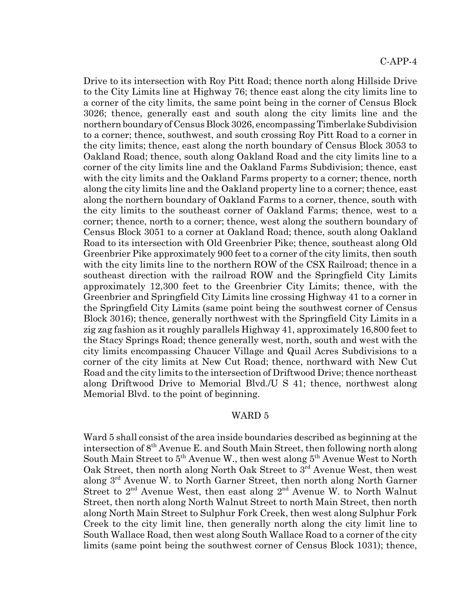Drive to its intersection with Roy Pitt Road; thence north along Hillside Drive to the City Limits line at Highway 76; thence east along the city limits line to a corner of the city limits, the same point being in the corner of Census Block 3026; thence, generally east and south along the city limits line and the northern boundary of Census Block 3026, encompassing Timberlake Subdivision to a corner; thence, southwest, and south crossing Roy Pitt Road to a corner in the city limits; thence, east along the north boundary of Census Block 3053 to Oakland Road; thence, south along Oakland Road and the city limits line to a corner of the city limits line and the Oakland Farms Subdivision; thence, east with the city limits and the Oakland Farms property to a corner; thence, north along the city limits line and the Oakland property line to a corner; thence, east along the northern boundary of Oakland Farms to a corner, thence, south with the city limits to the southeast corner of Oakland Farms; thence, west to a corner; thence, north to a corner; thence, west along the southern boundary of Census Block 3051 to a corner at Oakland Road; thence, south along Oakland Road to its intersection with Old Greenbrier Pike; thence, southeast along Old Greenbrier Pike approximately 900 feet to a corner of the city limits, then south with the city limits line to the northern ROW of the CSX Railroad; thence in a southeast direction with the railroad ROW and the Springfield City Limits approximately 12,300 feet to the Greenbrier City Limits; thence, with the Greenbrier and Springfield City Limits line crossing Highway 41 to a corner in the Springfield City Limits (same point being the southwest corner of Census Block 3016); thence, generally northwest with the Springfield City Limits in a zig zag fashion as it roughly parallels Highway 41, approximately 16,800 feet to the Stacy Springs Road; thence generally west, north, south and west with the city limits encompassing Chaucer Village and Quail Acres Subdivisions to a corner of the city limits at New Cut Road; thence, northward with New Cut Road and the city limits to the intersection of Driftwood Drive; thence northeast along Driftwood Drive to Memorial Blvd./U S 41; thence, northwest along Memorial Blvd. to the point of beginning.

#### WARD 5

Ward 5 shall consist of the area inside boundaries described as beginning at the intersection of  $8<sup>th</sup>$  Avenue E. and South Main Street, then following north along South Main Street to  $5<sup>th</sup>$  Avenue W., then west along  $5<sup>th</sup>$  Avenue West to North Oak Street, then north along North Oak Street to 3<sup>rd</sup> Avenue West, then west along 3rd Avenue W. to North Garner Street, then north along North Garner Street to 2<sup>nd</sup> Avenue West, then east along 2<sup>nd</sup> Avenue W. to North Walnut Street, then north along North Walnut Street to north Main Street, then north along North Main Street to Sulphur Fork Creek, then west along Sulphur Fork Creek to the city limit line, then generally north along the city limit line to South Wallace Road, then west along South Wallace Road to a corner of the city limits (same point being the southwest corner of Census Block 1031); thence,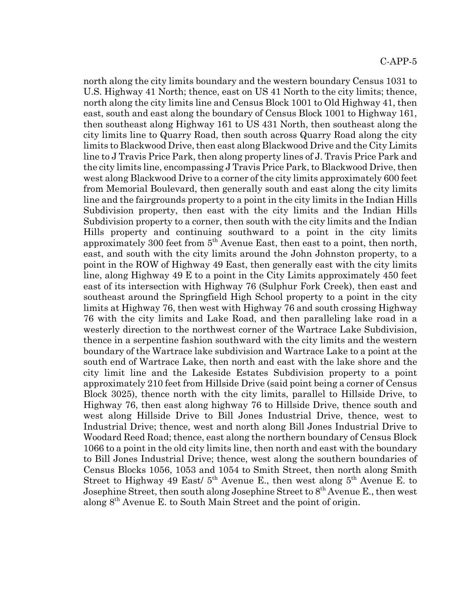north along the city limits boundary and the western boundary Census 1031 to U.S. Highway 41 North; thence, east on US 41 North to the city limits; thence, north along the city limits line and Census Block 1001 to Old Highway 41, then east, south and east along the boundary of Census Block 1001 to Highway 161, then southeast along Highway 161 to US 431 North, then southeast along the city limits line to Quarry Road, then south across Quarry Road along the city limits to Blackwood Drive, then east along Blackwood Drive and the City Limits line to J Travis Price Park, then along property lines of J. Travis Price Park and the city limits line, encompassing J Travis Price Park, to Blackwood Drive, then west along Blackwood Drive to a corner of the city limits approximately 600 feet from Memorial Boulevard, then generally south and east along the city limits line and the fairgrounds property to a point in the city limits in the Indian Hills Subdivision property, then east with the city limits and the Indian Hills Subdivision property to a corner, then south with the city limits and the Indian Hills property and continuing southward to a point in the city limits approximately 300 feet from  $5<sup>th</sup>$  Avenue East, then east to a point, then north, east, and south with the city limits around the John Johnston property, to a point in the ROW of Highway 49 East, then generally east with the city limits line, along Highway 49 E to a point in the City Limits approximately 450 feet east of its intersection with Highway 76 (Sulphur Fork Creek), then east and southeast around the Springfield High School property to a point in the city limits at Highway 76, then west with Highway 76 and south crossing Highway 76 with the city limits and Lake Road, and then paralleling lake road in a westerly direction to the northwest corner of the Wartrace Lake Subdivision, thence in a serpentine fashion southward with the city limits and the western boundary of the Wartrace lake subdivision and Wartrace Lake to a point at the south end of Wartrace Lake, then north and east with the lake shore and the city limit line and the Lakeside Estates Subdivision property to a point approximately 210 feet from Hillside Drive (said point being a corner of Census Block 3025), thence north with the city limits, parallel to Hillside Drive, to Highway 76, then east along highway 76 to Hillside Drive, thence south and west along Hillside Drive to Bill Jones Industrial Drive, thence, west to Industrial Drive; thence, west and north along Bill Jones Industrial Drive to Woodard Reed Road; thence, east along the northern boundary of Census Block 1066 to a point in the old city limits line, then north and east with the boundary to Bill Jones Industrial Drive; thence, west along the southern boundaries of Census Blocks 1056, 1053 and 1054 to Smith Street, then north along Smith Street to Highway 49 East/  $5<sup>th</sup>$  Avenue E., then west along  $5<sup>th</sup>$  Avenue E. to Josephine Street, then south along Josephine Street to  $8<sup>th</sup>$  Avenue E., then west along 8th Avenue E. to South Main Street and the point of origin.